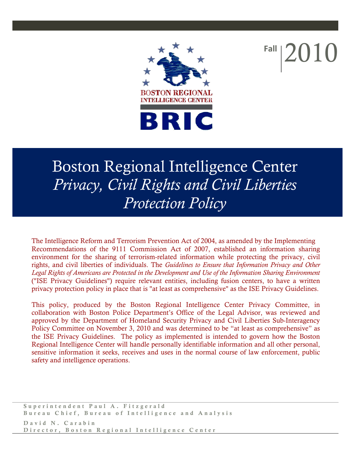

**Fall** 2010

# Boston Regional Intelligence Center *Privacy, Civil Rights and Civil Liberties Protection Policy*

The Intelligence Reform and Terrorism Prevention Act of 2004, as amended by the Implementing Recommendations of the 9111 Commission Act of 2007, established an information sharing environment for the sharing of terrorism-related information while protecting the privacy, civil rights, and civil liberties of individuals. The *Guidelines to Ensure that Information Privacy and Other Legal Rights of Americans are Protected in the Development and Use of the Information Sharing Environment* ("ISE Privacy Guidelines") require relevant entities, including fusion centers, to have a written privacy protection policy in place that is "at least as comprehensive" as the ISE Privacy Guidelines.

This policy, produced by the Boston Regional Intelligence Center Privacy Committee, in collaboration with Boston Police Department's Office of the Legal Advisor, was reviewed and approved by the Department of Homeland Security Privacy and Civil Liberties Sub-Interagency Policy Committee on November 3, 2010 and was determined to be "at least as comprehensive" as the ISE Privacy Guidelines. The policy as implemented is intended to govern how the Boston Regional Intelligence Center will handle personally identifiable information and all other personal, sensitive information it seeks, receives and uses in the normal course of law enforcement, public safety and intelligence operations.

Superintendent Paul A. Fitzgerald Bureau Chief, Bureau of Intelligence and Analysis David N. Carabin Director, Boston Regional Intelligence Center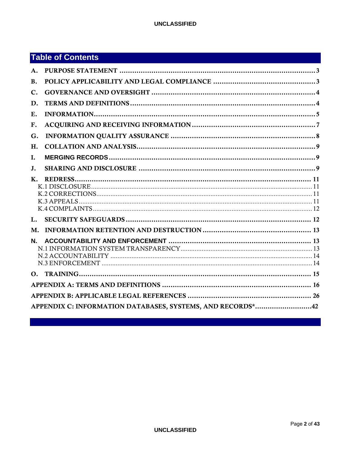## **Table of Contents**

| A.               |                                                            |  |  |  |  |
|------------------|------------------------------------------------------------|--|--|--|--|
| <b>B.</b>        |                                                            |  |  |  |  |
| C.               |                                                            |  |  |  |  |
| D.               |                                                            |  |  |  |  |
| Ε.               |                                                            |  |  |  |  |
| F.               |                                                            |  |  |  |  |
| G.               |                                                            |  |  |  |  |
| H.               |                                                            |  |  |  |  |
| I.               |                                                            |  |  |  |  |
| J.               |                                                            |  |  |  |  |
| K.               |                                                            |  |  |  |  |
| $\mathbf{L}$     |                                                            |  |  |  |  |
| М.               |                                                            |  |  |  |  |
| N.               |                                                            |  |  |  |  |
| $\Omega_{\rm m}$ |                                                            |  |  |  |  |
|                  |                                                            |  |  |  |  |
|                  |                                                            |  |  |  |  |
|                  | APPENDIX C: INFORMATION DATABASES, SYSTEMS, AND RECORDS*42 |  |  |  |  |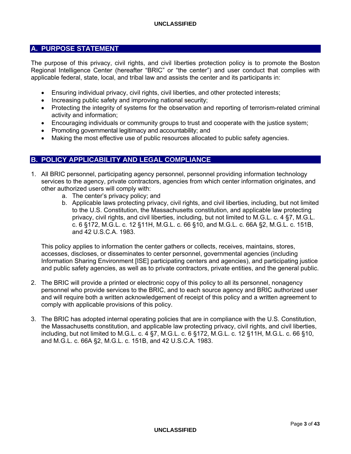## **A. PURPOSE STATEMENT**

The purpose of this privacy, civil rights, and civil liberties protection policy is to promote the Boston Regional Intelligence Center (hereafter "BRIC" or "the center") and user conduct that complies with applicable federal, state, local, and tribal law and assists the center and its participants in:

- Ensuring individual privacy, civil rights, civil liberties, and other protected interests;
- Increasing public safety and improving national security;
- Protecting the integrity of systems for the observation and reporting of terrorism-related criminal activity and information;
- Encouraging individuals or community groups to trust and cooperate with the justice system;
- Promoting governmental legitimacy and accountability; and
- Making the most effective use of public resources allocated to public safety agencies.

## **B. POLICY APPLICABILITY AND LEGAL COMPLIANCE**

- 1. All BRIC personnel, participating agency personnel, personnel providing information technology services to the agency, private contractors, agencies from which center information originates, and other authorized users will comply with:
	- a. The center's privacy policy; and
	- b. Applicable laws protecting privacy, civil rights, and civil liberties, including, but not limited to the U.S. Constitution, the Massachusetts constitution, and applicable law protecting privacy, civil rights, and civil liberties, including, but not limited to M.G.L. c. 4 §7, M.G.L. c. 6 §172, M.G.L. c. 12 §11H, M.G.L. c. 66 §10, and M.G.L. c. 66A §2, M.G.L. c. 151B, and 42 U.S.C.A. 1983.

This policy applies to information the center gathers or collects, receives, maintains, stores, accesses, discloses, or disseminates to center personnel, governmental agencies (including Information Sharing Environment [ISE] participating centers and agencies), and participating justice and public safety agencies, as well as to private contractors, private entities, and the general public.

- 2. The BRIC will provide a printed or electronic copy of this policy to all its personnel, nonagency personnel who provide services to the BRIC, and to each source agency and BRIC authorized user and will require both a written acknowledgement of receipt of this policy and a written agreement to comply with applicable provisions of this policy.
- 3. The BRIC has adopted internal operating policies that are in compliance with the U.S. Constitution, the Massachusetts constitution, and applicable law protecting privacy, civil rights, and civil liberties, including, but not limited to M.G.L. c. 4 §7, M.G.L. c. 6 §172, M.G.L. c. 12 §11H, M.G.L. c. 66 §10, and M.G.L. c. 66A §2, M.G.L. c. 151B, and 42 U.S.C.A. 1983.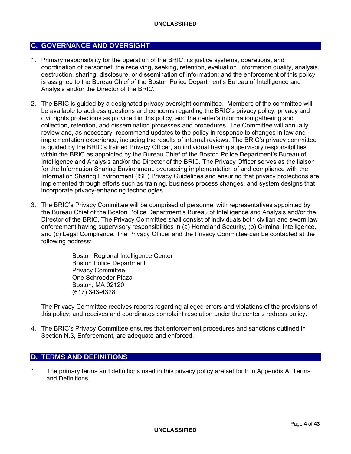## **C. GOVERNANCE AND OVERSIGHT**

- 1. Primary responsibility for the operation of the BRIC; its justice systems, operations, and coordination of personnel; the receiving, seeking, retention, evaluation, information quality, analysis, destruction, sharing, disclosure, or dissemination of information; and the enforcement of this policy is assigned to the Bureau Chief of the Boston Police Department's Bureau of Intelligence and Analysis and/or the Director of the BRIC.
- 2. The BRIC is guided by a designated privacy oversight committee. Members of the committee will be available to address questions and concerns regarding the BRIC's privacy policy, privacy and civil rights protections as provided in this policy, and the center's information gathering and collection, retention, and dissemination processes and procedures. The Committee will annually review and, as necessary, recommend updates to the policy in response to changes in law and implementation experience, including the results of internal reviews. The BRIC's privacy committee is guided by the BRIC's trained Privacy Officer, an individual having supervisory responsibilities within the BRIC as appointed by the Bureau Chief of the Boston Police Department's Bureau of Intelligence and Analysis and/or the Director of the BRIC. The Privacy Officer serves as the liaison for the Information Sharing Environment, overseeing implementation of and compliance with the Information Sharing Environment (ISE) Privacy Guidelines and ensuring that privacy protections are implemented through efforts such as training, business process changes, and system designs that incorporate privacy-enhancing technologies.
- 3. The BRIC's Privacy Committee will be comprised of personnel with representatives appointed by the Bureau Chief of the Boston Police Department's Bureau of Intelligence and Analysis and/or the Director of the BRIC. The Privacy Committee shall consist of individuals both civilian and sworn law enforcement having supervisory responsibilities in (a) Homeland Security, (b) Criminal Intelligence, and (c) Legal Compliance. The Privacy Officer and the Privacy Committee can be contacted at the following address:

Boston Regional Intelligence Center Boston Police Department Privacy Committee One Schroeder Plaza Boston, MA 02120 (617) 343-4328

The Privacy Committee receives reports regarding alleged errors and violations of the provisions of this policy, and receives and coordinates complaint resolution under the center's redress policy.

4. The BRIC's Privacy Committee ensures that enforcement procedures and sanctions outlined in Section N.3, Enforcement, are adequate and enforced.

## **D. TERMS AND DEFINITIONS**

1. The primary terms and definitions used in this privacy policy are set forth in Appendix A, Terms and Definitions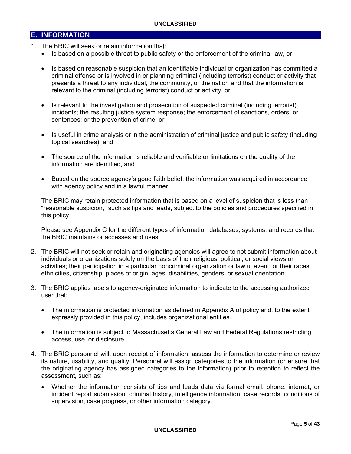## **E. INFORMATION**

- 1. The BRIC will seek or retain information that:
	- Is based on a possible threat to public safety or the enforcement of the criminal law, or
	- Is based on reasonable suspicion that an identifiable individual or organization has committed a criminal offense or is involved in or planning criminal (including terrorist) conduct or activity that presents a threat to any individual, the community, or the nation and that the information is relevant to the criminal (including terrorist) conduct or activity, or
	- Is relevant to the investigation and prosecution of suspected criminal (including terrorist) incidents; the resulting justice system response; the enforcement of sanctions, orders, or sentences; or the prevention of crime, or
	- Is useful in crime analysis or in the administration of criminal justice and public safety (including topical searches), and
	- The source of the information is reliable and verifiable or limitations on the quality of the information are identified, and
	- Based on the source agency's good faith belief, the information was acquired in accordance with agency policy and in a lawful manner.

The BRIC may retain protected information that is based on a level of suspicion that is less than "reasonable suspicion," such as tips and leads, subject to the policies and procedures specified in this policy.

Please see Appendix C for the different types of information databases, systems, and records that the BRIC maintains or accesses and uses.

- 2. The BRIC will not seek or retain and originating agencies will agree to not submit information about individuals or organizations solely on the basis of their religious, political, or social views or activities; their participation in a particular noncriminal organization or lawful event; or their races, ethnicities, citizenship, places of origin, ages, disabilities, genders, or sexual orientation.
- 3. The BRIC applies labels to agency-originated information to indicate to the accessing authorized user that:
	- The information is protected information as defined in Appendix A of policy and, to the extent expressly provided in this policy, includes organizational entities.
	- The information is subject to Massachusetts General Law and Federal Regulations restricting access, use, or disclosure.
- 4. The BRIC personnel will, upon receipt of information, assess the information to determine or review its nature, usability, and quality. Personnel will assign categories to the information (or ensure that the originating agency has assigned categories to the information) prior to retention to reflect the assessment, such as:
	- Whether the information consists of tips and leads data via formal email, phone, internet, or incident report submission, criminal history, intelligence information, case records, conditions of supervision, case progress, or other information category.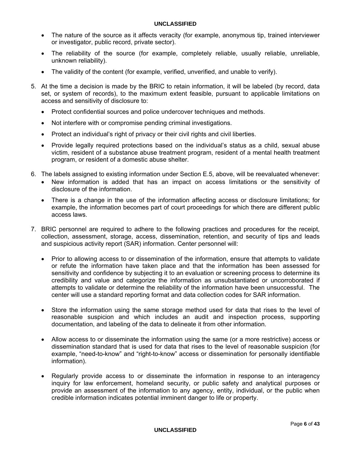- The nature of the source as it affects veracity (for example, anonymous tip, trained interviewer or investigator, public record, private sector).
- The reliability of the source (for example, completely reliable, usually reliable, unreliable, unknown reliability).
- The validity of the content (for example, verified, unverified, and unable to verify).
- 5. At the time a decision is made by the BRIC to retain information, it will be labeled (by record, data set, or system of records), to the maximum extent feasible, pursuant to applicable limitations on access and sensitivity of disclosure to:
	- Protect confidential sources and police undercover techniques and methods.
	- Not interfere with or compromise pending criminal investigations.
	- Protect an individual's right of privacy or their civil rights and civil liberties.
	- Provide legally required protections based on the individual's status as a child, sexual abuse victim, resident of a substance abuse treatment program, resident of a mental health treatment program, or resident of a domestic abuse shelter.
- 6. The labels assigned to existing information under Section E.5, above, will be reevaluated whenever:
	- New information is added that has an impact on access limitations or the sensitivity of disclosure of the information.
	- There is a change in the use of the information affecting access or disclosure limitations; for example, the information becomes part of court proceedings for which there are different public access laws.
- 7. BRIC personnel are required to adhere to the following practices and procedures for the receipt, collection, assessment, storage, access, dissemination, retention, and security of tips and leads and suspicious activity report (SAR) information. Center personnel will:
	- Prior to allowing access to or dissemination of the information, ensure that attempts to validate or refute the information have taken place and that the information has been assessed for sensitivity and confidence by subjecting it to an evaluation or screening process to determine its credibility and value and categorize the information as unsubstantiated or uncorroborated if attempts to validate or determine the reliability of the information have been unsuccessful. The center will use a standard reporting format and data collection codes for SAR information.
	- Store the information using the same storage method used for data that rises to the level of reasonable suspicion and which includes an audit and inspection process, supporting documentation, and labeling of the data to delineate it from other information.
	- Allow access to or disseminate the information using the same (or a more restrictive) access or dissemination standard that is used for data that rises to the level of reasonable suspicion (for example, "need-to-know" and "right-to-know" access or dissemination for personally identifiable information).
	- Regularly provide access to or disseminate the information in response to an interagency inquiry for law enforcement, homeland security, or public safety and analytical purposes or provide an assessment of the information to any agency, entity, individual, or the public when credible information indicates potential imminent danger to life or property.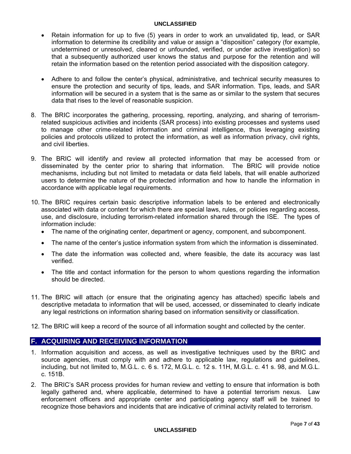- Retain information for up to five (5) years in order to work an unvalidated tip, lead, or SAR information to determine its credibility and value or assign a "disposition" category (for example, undetermined or unresolved, cleared or unfounded, verified, or under active investigation) so that a subsequently authorized user knows the status and purpose for the retention and will retain the information based on the retention period associated with the disposition category.
- Adhere to and follow the center's physical, administrative, and technical security measures to ensure the protection and security of tips, leads, and SAR information. Tips, leads, and SAR information will be secured in a system that is the same as or similar to the system that secures data that rises to the level of reasonable suspicion.
- 8. The BRIC incorporates the gathering, processing, reporting, analyzing, and sharing of terrorismrelated suspicious activities and incidents (SAR process) into existing processes and systems used to manage other crime-related information and criminal intelligence, thus leveraging existing policies and protocols utilized to protect the information, as well as information privacy, civil rights, and civil liberties.
- 9. The BRIC will identify and review all protected information that may be accessed from or disseminated by the center prior to sharing that information. The BRIC will provide notice mechanisms, including but not limited to metadata or data field labels, that will enable authorized users to determine the nature of the protected information and how to handle the information in accordance with applicable legal requirements.
- 10. The BRIC requires certain basic descriptive information labels to be entered and electronically associated with data or content for which there are special laws, rules, or policies regarding access, use, and disclosure, including terrorism-related information shared through the ISE. The types of information include:
	- The name of the originating center, department or agency, component, and subcomponent.
	- The name of the center's justice information system from which the information is disseminated.
	- The date the information was collected and, where feasible, the date its accuracy was last verified.
	- The title and contact information for the person to whom questions regarding the information should be directed.
- 11. The BRIC will attach (or ensure that the originating agency has attached) specific labels and descriptive metadata to information that will be used, accessed, or disseminated to clearly indicate any legal restrictions on information sharing based on information sensitivity or classification.
- 12. The BRIC will keep a record of the source of all information sought and collected by the center.

## **F. ACQUIRING AND RECEIVING INFORMATION**

- 1. Information acquisition and access, as well as investigative techniques used by the BRIC and source agencies, must comply with and adhere to applicable law, regulations and guidelines, including, but not limited to, M.G.L. c. 6 s. 172, M.G.L. c. 12 s. 11H, M.G.L. c. 41 s. 98, and M.G.L. c. 151B.
- 2. The BRIC's SAR process provides for human review and vetting to ensure that information is both legally gathered and, where applicable, determined to have a potential terrorism nexus. Law enforcement officers and appropriate center and participating agency staff will be trained to recognize those behaviors and incidents that are indicative of criminal activity related to terrorism.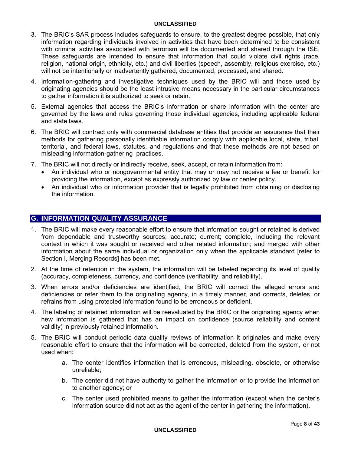- 3. The BRIC's SAR process includes safeguards to ensure, to the greatest degree possible, that only information regarding individuals involved in activities that have been determined to be consistent with criminal activities associated with terrorism will be documented and shared through the ISE. These safeguards are intended to ensure that information that could violate civil rights (race, religion, national origin, ethnicity, etc.) and civil liberties (speech, assembly, religious exercise, etc.) will not be intentionally or inadvertently gathered, documented, processed, and shared.
- 4. Information-gathering and investigative techniques used by the BRIC will and those used by originating agencies should be the least intrusive means necessary in the particular circumstances to gather information it is authorized to seek or retain.
- 5. External agencies that access the BRIC's information or share information with the center are governed by the laws and rules governing those individual agencies, including applicable federal and state laws.
- 6. The BRIC will contract only with commercial database entities that provide an assurance that their methods for gathering personally identifiable information comply with applicable local, state, tribal, territorial, and federal laws, statutes, and regulations and that these methods are not based on misleading information-gathering practices.
- 7. The BRIC will not directly or indirectly receive, seek, accept, or retain information from:
	- An individual who or nongovernmental entity that may or may not receive a fee or benefit for providing the information, except as expressly authorized by law or center policy.
	- An individual who or information provider that is legally prohibited from obtaining or disclosing the information.

## **G. INFORMATION QUALITY ASSURANCE**

- 1. The BRIC will make every reasonable effort to ensure that information sought or retained is derived from dependable and trustworthy sources; accurate; current; complete, including the relevant context in which it was sought or received and other related information; and merged with other information about the same individual or organization only when the applicable standard [refer to Section I, Merging Records] has been met.
- 2. At the time of retention in the system, the information will be labeled regarding its level of quality (accuracy, completeness, currency, and confidence (verifiability, and reliability).
- 3. When errors and/or deficiencies are identified, the BRIC will correct the alleged errors and deficiencies or refer them to the originating agency, in a timely manner, and corrects, deletes, or refrains from using protected information found to be erroneous or deficient.
- 4. The labeling of retained information will be reevaluated by the BRIC or the originating agency when new information is gathered that has an impact on confidence (source reliability and content validity) in previously retained information.
- 5. The BRIC will conduct periodic data quality reviews of information it originates and make every reasonable effort to ensure that the information will be corrected, deleted from the system, or not used when:
	- a. The center identifies information that is erroneous, misleading, obsolete, or otherwise unreliable;
	- b. The center did not have authority to gather the information or to provide the information to another agency; or
	- c. The center used prohibited means to gather the information (except when the center's information source did not act as the agent of the center in gathering the information).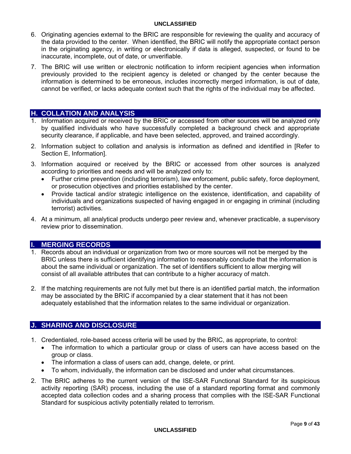- 6. Originating agencies external to the BRIC are responsible for reviewing the quality and accuracy of the data provided to the center. When identified, the BRIC will notify the appropriate contact person in the originating agency, in writing or electronically if data is alleged, suspected, or found to be inaccurate, incomplete, out of date, or unverifiable.
- 7. The BRIC will use written or electronic notification to inform recipient agencies when information previously provided to the recipient agency is deleted or changed by the center because the information is determined to be erroneous, includes incorrectly merged information, is out of date, cannot be verified, or lacks adequate context such that the rights of the individual may be affected.

## **H. COLLATION AND ANALYSIS**

- 1. Information acquired or received by the BRIC or accessed from other sources will be analyzed only by qualified individuals who have successfully completed a background check and appropriate security clearance, if applicable, and have been selected, approved, and trained accordingly.
- 2. Information subject to collation and analysis is information as defined and identified in [Refer to Section E, Information].
- 3. Information acquired or received by the BRIC or accessed from other sources is analyzed according to priorities and needs and will be analyzed only to:
	- Further crime prevention (including terrorism), law enforcement, public safety, force deployment, or prosecution objectives and priorities established by the center.
	- Provide tactical and/or strategic intelligence on the existence, identification, and capability of individuals and organizations suspected of having engaged in or engaging in criminal (including terrorist) activities.
- 4. At a minimum, all analytical products undergo peer review and, whenever practicable, a supervisory review prior to dissemination.

## **I. MERGING RECORDS**

- 1. Records about an individual or organization from two or more sources will not be merged by the BRIC unless there is sufficient identifying information to reasonably conclude that the information is about the same individual or organization. The set of identifiers sufficient to allow merging will consist of all available attributes that can contribute to a higher accuracy of match.
- 2. If the matching requirements are not fully met but there is an identified partial match, the information may be associated by the BRIC if accompanied by a clear statement that it has not been adequately established that the information relates to the same individual or organization.

## **J. SHARING AND DISCLOSURE**

- 1. Credentialed, role-based access criteria will be used by the BRIC, as appropriate, to control:
	- The information to which a particular group or class of users can have access based on the group or class.
	- The information a class of users can add, change, delete, or print.
	- To whom, individually, the information can be disclosed and under what circumstances.
- 2. The BRIC adheres to the current version of the ISE-SAR Functional Standard for its suspicious activity reporting (SAR) process, including the use of a standard reporting format and commonly accepted data collection codes and a sharing process that complies with the ISE-SAR Functional Standard for suspicious activity potentially related to terrorism.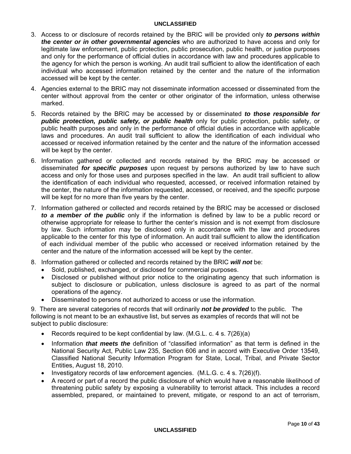- 3. Access to or disclosure of records retained by the BRIC will be provided only *to persons within the center or in other governmental agencies* who are authorized to have access and only for legitimate law enforcement, public protection, public prosecution, public health, or justice purposes and only for the performance of official duties in accordance with law and procedures applicable to the agency for which the person is working. An audit trail sufficient to allow the identification of each individual who accessed information retained by the center and the nature of the information accessed will be kept by the center.
- 4. Agencies external to the BRIC may not disseminate information accessed or disseminated from the center without approval from the center or other originator of the information, unless otherwise marked.
- 5. Records retained by the BRIC may be accessed by or disseminated *to those responsible for public protection, public safety, or public health* only for public protection, public safety, or public health purposes and only in the performance of official duties in accordance with applicable laws and procedures. An audit trail sufficient to allow the identification of each individual who accessed or received information retained by the center and the nature of the information accessed will be kept by the center.
- 6. Information gathered or collected and records retained by the BRIC may be accessed or disseminated *for specific purposes* upon request by persons authorized by law to have such access and only for those uses and purposes specified in the law. An audit trail sufficient to allow the identification of each individual who requested, accessed, or received information retained by the center, the nature of the information requested, accessed, or received, and the specific purpose will be kept for no more than five years by the center.
- 7. Information gathered or collected and records retained by the BRIC may be accessed or disclosed *to a member of the public* only if the information is defined by law to be a public record or otherwise appropriate for release to further the center's mission and is not exempt from disclosure by law. Such information may be disclosed only in accordance with the law and procedures applicable to the center for this type of information. An audit trail sufficient to allow the identification of each individual member of the public who accessed or received information retained by the center and the nature of the information accessed will be kept by the center.
- 8. Information gathered or collected and records retained by the BRIC *will not* be:
	- Sold, published, exchanged, or disclosed for commercial purposes.
	- Disclosed or published without prior notice to the originating agency that such information is subject to disclosure or publication, unless disclosure is agreed to as part of the normal operations of the agency.
	- Disseminated to persons not authorized to access or use the information.

9. There are several categories of records that will ordinarily *not be provided* to the public. The following is not meant to be an exhaustive list, but serves as examples of records that will not be subject to public disclosure:

- Records required to be kept confidential by law. (M.G.L. c. 4 s. 7(26)(a)
- Information *that meets the* definition of "classified information" as that term is defined in the National Security Act, Public Law 235, Section 606 and in accord with Executive Order 13549, Classified National Security Information Program for State, Local, Tribal, and Private Sector Entities, August 18, 2010.
- Investigatory records of law enforcement agencies. (M.L.G. c. 4 s. 7(26)(f).
- A record or part of a record the public disclosure of which would have a reasonable likelihood of threatening public safety by exposing a vulnerability to terrorist attack. This includes a record assembled, prepared, or maintained to prevent, mitigate, or respond to an act of terrorism,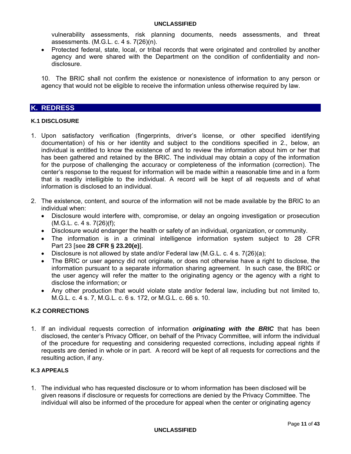vulnerability assessments, risk planning documents, needs assessments, and threat assessments. (M.G.L. c. 4 s. 7(26)(n).

• Protected federal, state, local, or tribal records that were originated and controlled by another agency and were shared with the Department on the condition of confidentiality and nondisclosure.

10. The BRIC shall not confirm the existence or nonexistence of information to any person or agency that would not be eligible to receive the information unless otherwise required by law.

## **K. REDRESS**

#### **K.1 DISCLOSURE**

- 1. Upon satisfactory verification (fingerprints, driver's license, or other specified identifying documentation) of his or her identity and subject to the conditions specified in 2., below, an individual is entitled to know the existence of and to review the information about him or her that has been gathered and retained by the BRIC. The individual may obtain a copy of the information for the purpose of challenging the accuracy or completeness of the information (correction). The center's response to the request for information will be made within a reasonable time and in a form that is readily intelligible to the individual. A record will be kept of all requests and of what information is disclosed to an individual.
- 2. The existence, content, and source of the information will not be made available by the BRIC to an individual when:
	- Disclosure would interfere with, compromise, or delay an ongoing investigation or prosecution  $(M.G.L. c. 4 s. 7(26)(f))$ ;
	- Disclosure would endanger the health or safety of an individual, organization, or community.
	- The information is in a criminal intelligence information system subject to 28 CFR Part 23 [see **28 CFR § 23.20(e)**].
	- Disclosure is not allowed by state and/or Federal law (M.G.L. c. 4 s. 7(26)(a);
	- The BRIC or user agency did not originate, or does not otherwise have a right to disclose, the information pursuant to a separate information sharing agreement. In such case, the BRIC or the user agency will refer the matter to the originating agency or the agency with a right to disclose the information; or
	- Any other production that would violate state and/or federal law, including but not limited to, M.G.L. c. 4 s. 7, M.G.L. c. 6 s. 172, or M.G.L. c. 66 s. 10.

## **K.2 CORRECTIONS**

1. If an individual requests correction of information *originating with the BRIC* that has been disclosed, the center's Privacy Officer, on behalf of the Privacy Committee, will inform the individual of the procedure for requesting and considering requested corrections, including appeal rights if requests are denied in whole or in part. A record will be kept of all requests for corrections and the resulting action, if any.

#### **K.3 APPEALS**

1. The individual who has requested disclosure or to whom information has been disclosed will be given reasons if disclosure or requests for corrections are denied by the Privacy Committee. The individual will also be informed of the procedure for appeal when the center or originating agency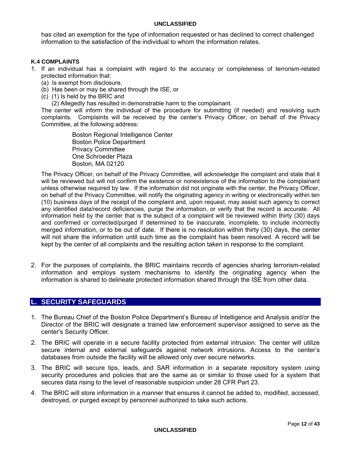has cited an exemption for the type of information requested or has declined to correct challenged information to the satisfaction of the individual to whom the information relates.

#### **K.4 COMPLAINTS**

- 1. If an individual has a complaint with regard to the accuracy or completeness of terrorism-related protected information that:
	- (a) Is exempt from disclosure,
	- (b) Has been or may be shared through the ISE, or
	- (c) (1) Is held by the BRIC and

(2) Allegedly has resulted in demonstrable harm to the complainant.

The center will inform the individual of the procedure for submitting (if needed) and resolving such complaints. Complaints will be received by the center's Privacy Officer, on behalf of the Privacy Committee, at the following address:

> Boston Regional Intelligence Center Boston Police Department Privacy Committee One Schroeder Plaza Boston, MA 02120

The Privacy Officer, on behalf of the Privacy Committee, will acknowledge the complaint and state that it will be reviewed but will not confirm the existence or nonexistence of the information to the complainant unless otherwise required by law. If the information did not originate with the center, the Privacy Officer, on behalf of the Privacy Committee, will notify the originating agency in writing or electronically within ten (10) business days of the receipt of the complaint and, upon request, may assist such agency to correct any identified data/record deficiencies, purge the information, or verify that the record is accurate. All information held by the center that is the subject of a complaint will be reviewed within thirty (30) days and confirmed or corrected/purged if determined to be inaccurate, incomplete, to include incorrectly merged information, or to be out of date. If there is no resolution within thirty (30) days, the center will not share the information until such time as the complaint has been resolved. A record will be kept by the center of all complaints and the resulting action taken in response to the complaint.

2. For the purposes of complaints, the BRIC maintains records of agencies sharing terrorism-related information and employs system mechanisms to identify the originating agency when the information is shared to delineate protected information shared through the ISE from other data.

## **L. SECURITY SAFEGUARDS**

- 1. The Bureau Chief of the Boston Police Department's Bureau of Intelligence and Analysis and/or the Director of the BRIC will designate a trained law enforcement supervisor assigned to serve as the center's Security Officer.
- 2. The BRIC will operate in a secure facility protected from external intrusion. The center will utilize secure internal and external safeguards against network intrusions. Access to the center's databases from outside the facility will be allowed only over secure networks.
- 3. The BRIC will secure tips, leads, and SAR information in a separate repository system using security procedures and policies that are the same as or similar to those used for a system that secures data rising to the level of reasonable suspicion under 28 CFR Part 23.
- 4. The BRIC will store information in a manner that ensures it cannot be added to, modified, accessed, destroyed, or purged except by personnel authorized to take such actions.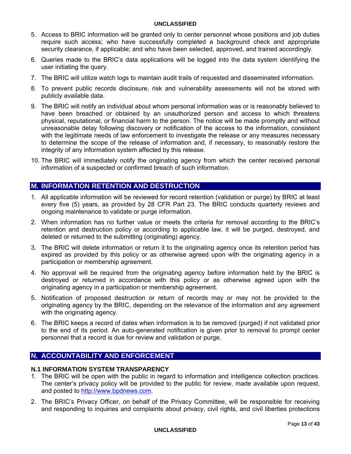- 5. Access to BRIC information will be granted only to center personnel whose positions and job duties require such access; who have successfully completed a background check and appropriate security clearance, if applicable; and who have been selected, approved, and trained accordingly.
- 6. Queries made to the BRIC's data applications will be logged into the data system identifying the user initiating the query.
- 7. The BRIC will utilize watch logs to maintain audit trails of requested and disseminated information.
- 8. To prevent public records disclosure, risk and vulnerability assessments will not be stored with publicly available data.
- 9. The BRIC will notify an individual about whom personal information was or is reasonably believed to have been breached or obtained by an unauthorized person and access to which threatens physical, reputational, or financial harm to the person. The notice will be made promptly and without unreasonable delay following discovery or notification of the access to the information, consistent with the legitimate needs of law enforcement to investigate the release or any measures necessary to determine the scope of the release of information and, if necessary, to reasonably restore the integrity of any information system affected by this release.
- 10. The BRIC will immediately notify the originating agency from which the center received personal information of a suspected or confirmed breach of such information.

## **M. INFORMATION RETENTION AND DESTRUCTION**

- 1. All applicable information will be reviewed for record retention (validation or purge) by BRIC at least every five (5) years, as provided by 28 CFR Part 23. The BRIC conducts quarterly reviews and ongoing maintenance to validate or purge information.
- 2. When information has no further value or meets the criteria for removal according to the BRIC's retention and destruction policy or according to applicable law, it will be purged, destroyed, and deleted or returned to the submitting (originating) agency.
- 3. The BRIC will delete information or return it to the originating agency once its retention period has expired as provided by this policy or as otherwise agreed upon with the originating agency in a participation or membership agreement.
- 4. No approval will be required from the originating agency before information held by the BRIC is destroyed or returned in accordance with this policy or as otherwise agreed upon with the originating agency in a participation or membership agreement.
- 5. Notification of proposed destruction or return of records may or may not be provided to the originating agency by the BRIC, depending on the relevance of the information and any agreement with the originating agency.
- 6. The BRIC keeps a record of dates when information is to be removed (purged) if not validated prior to the end of its period. An auto-generated notification is given prior to removal to prompt center personnel that a record is due for review and validation or purge.

## **N. ACCOUNTABILITY AND ENFORCEMENT**

## **N.1 INFORMATION SYSTEM TRANSPARENCY**

- 1. The BRIC will be open with the public in regard to information and intelligence collection practices. The center's privacy policy will be provided to the public for review, made available upon request, and posted to http://www.bpdnews.com.
- 2. The BRIC's Privacy Officer, on behalf of the Privacy Committee, will be responsible for receiving and responding to inquiries and complaints about privacy, civil rights, and civil liberties protections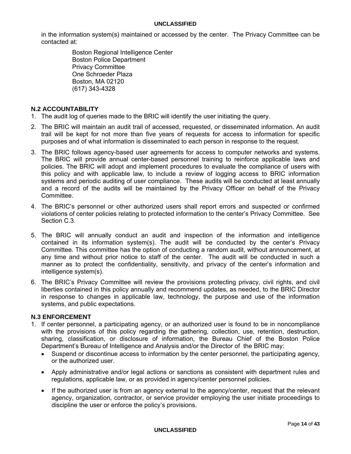in the information system(s) maintained or accessed by the center. The Privacy Committee can be contacted at:

> Boston Regional Intelligence Center Boston Police Department Privacy Committee One Schroeder Plaza Boston, MA 02120 (617) 343-4328

### **N.2 ACCOUNTABILITY**

- 1. The audit log of queries made to the BRIC will identify the user initiating the query.
- 2. The BRIC will maintain an audit trail of accessed, requested, or disseminated information. An audit trail will be kept for not more than five years of requests for access to information for specific purposes and of what information is disseminated to each person in response to the request.
- 3. The BRIC follows agency-based user agreements for access to computer networks and systems. The BRIC will provide annual center-based personnel training to reinforce applicable laws and policies. The BRIC will adopt and implement procedures to evaluate the compliance of users with this policy and with applicable law, to include a review of logging access to BRIC information systems and periodic auditing of user compliance. These audits will be conducted at least annually and a record of the audits will be maintained by the Privacy Officer on behalf of the Privacy Committee.
- 4. The BRIC's personnel or other authorized users shall report errors and suspected or confirmed violations of center policies relating to protected information to the center's Privacy Committee. See Section C.3.
- 5. The BRIC will annually conduct an audit and inspection of the information and intelligence contained in its information system(s). The audit will be conducted by the center's Privacy Committee. This committee has the option of conducting a random audit, without announcement, at any time and without prior notice to staff of the center. The audit will be conducted in such a manner as to protect the confidentiality, sensitivity, and privacy of the center's information and intelligence system(s).
- 6. The BRIC's Privacy Committee will review the provisions protecting privacy, civil rights, and civil liberties contained in this policy annually and recommend updates, as needed, to the BRIC Director in response to changes in applicable law, technology, the purpose and use of the information systems, and public expectations.

#### **N.3 ENFORCEMENT**

- 1. If center personnel, a participating agency, or an authorized user is found to be in noncompliance with the provisions of this policy regarding the gathering, collection, use, retention, destruction, sharing, classification, or disclosure of information, the Bureau Chief of the Boston Police Department's Bureau of Intelligence and Analysis and/or the Director of the BRIC may:
	- Suspend or discontinue access to information by the center personnel, the participating agency, or the authorized user.
	- Apply administrative and/or legal actions or sanctions as consistent with department rules and regulations, applicable law, or as provided in agency/center personnel policies.
	- If the authorized user is from an agency external to the agency/center, request that the relevant agency, organization, contractor, or service provider employing the user initiate proceedings to discipline the user or enforce the policy's provisions.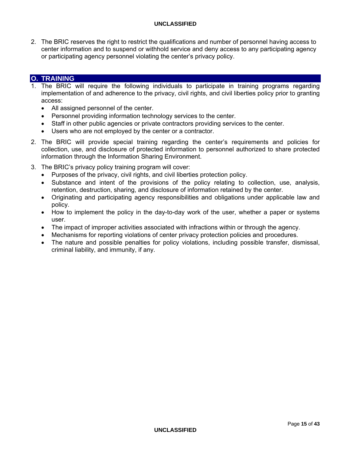2. The BRIC reserves the right to restrict the qualifications and number of personnel having access to center information and to suspend or withhold service and deny access to any participating agency or participating agency personnel violating the center's privacy policy.

## **O. TRAINING**

- 1. The BRIC will require the following individuals to participate in training programs regarding implementation of and adherence to the privacy, civil rights, and civil liberties policy prior to granting access:
	- All assigned personnel of the center.
	- Personnel providing information technology services to the center.
	- Staff in other public agencies or private contractors providing services to the center.
	- Users who are not employed by the center or a contractor.
- 2. The BRIC will provide special training regarding the center's requirements and policies for collection, use, and disclosure of protected information to personnel authorized to share protected information through the Information Sharing Environment.
- 3. The BRIC's privacy policy training program will cover:
	- Purposes of the privacy, civil rights, and civil liberties protection policy.
	- Substance and intent of the provisions of the policy relating to collection, use, analysis, retention, destruction, sharing, and disclosure of information retained by the center.
	- Originating and participating agency responsibilities and obligations under applicable law and policy.
	- How to implement the policy in the day-to-day work of the user, whether a paper or systems user.
	- The impact of improper activities associated with infractions within or through the agency.
	- Mechanisms for reporting violations of center privacy protection policies and procedures.
	- The nature and possible penalties for policy violations, including possible transfer, dismissal, criminal liability, and immunity, if any.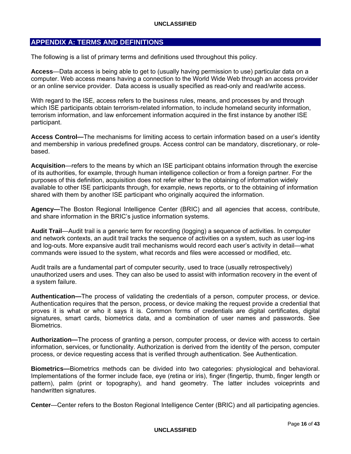## **APPENDIX A: TERMS AND DEFINITIONS**

The following is a list of primary terms and definitions used throughout this policy.

**Access**—Data access is being able to get to (usually having permission to use) particular data on a computer. Web access means having a connection to the World Wide Web through an access provider or an online service provider. Data access is usually specified as read-only and read/write access.

With regard to the ISE, access refers to the business rules, means, and processes by and through which ISE participants obtain terrorism-related information, to include homeland security information, terrorism information, and law enforcement information acquired in the first instance by another ISE participant.

**Access Control—**The mechanisms for limiting access to certain information based on a user's identity and membership in various predefined groups. Access control can be mandatory, discretionary, or rolebased.

**Acquisition**—refers to the means by which an ISE participant obtains information through the exercise of its authorities, for example, through human intelligence collection or from a foreign partner. For the purposes of this definition, acquisition does not refer either to the obtaining of information widely available to other ISE participants through, for example, news reports, or to the obtaining of information shared with them by another ISE participant who originally acquired the information.

**Agency—**The Boston Regional Intelligence Center (BRIC) and all agencies that access, contribute, and share information in the BRIC's justice information systems.

**Audit Trail**—Audit trail is a generic term for recording (logging) a sequence of activities. In computer and network contexts, an audit trail tracks the sequence of activities on a system, such as user log-ins and log-outs. More expansive audit trail mechanisms would record each user's activity in detail—what commands were issued to the system, what records and files were accessed or modified, etc.

Audit trails are a fundamental part of computer security, used to trace (usually retrospectively) unauthorized users and uses. They can also be used to assist with information recovery in the event of a system failure.

**Authentication—**The process of validating the credentials of a person, computer process, or device. Authentication requires that the person, process, or device making the request provide a credential that proves it is what or who it says it is. Common forms of credentials are digital certificates, digital signatures, smart cards, biometrics data, and a combination of user names and passwords. See Biometrics.

**Authorization—**The process of granting a person, computer process, or device with access to certain information, services, or functionality. Authorization is derived from the identity of the person, computer process, or device requesting access that is verified through authentication. See Authentication.

**Biometrics—**Biometrics methods can be divided into two categories: physiological and behavioral. Implementations of the former include face, eye (retina or iris), finger (fingertip, thumb, finger length or pattern), palm (print or topography), and hand geometry. The latter includes voiceprints and handwritten signatures.

**Center**—Center refers to the Boston Regional Intelligence Center (BRIC) and all participating agencies.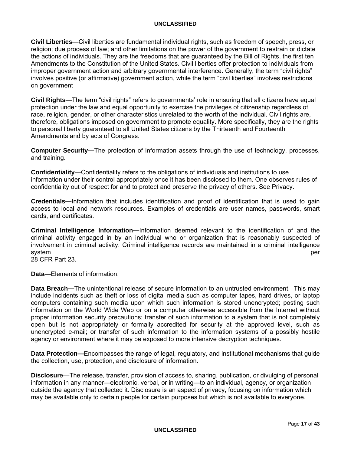**Civil Liberties**—Civil liberties are fundamental individual rights, such as freedom of speech, press, or religion; due process of law; and other limitations on the power of the government to restrain or dictate the actions of individuals. They are the freedoms that are guaranteed by the Bill of Rights, the first ten Amendments to the Constitution of the United States. Civil liberties offer protection to individuals from improper government action and arbitrary governmental interference. Generally, the term "civil rights" involves positive (or affirmative) government action, while the term "civil liberties" involves restrictions on government

**Civil Rights**—The term "civil rights" refers to governments' role in ensuring that all citizens have equal protection under the law and equal opportunity to exercise the privileges of citizenship regardless of race, religion, gender, or other characteristics unrelated to the worth of the individual. Civil rights are, therefore, obligations imposed on government to promote equality. More specifically, they are the rights to personal liberty guaranteed to all United States citizens by the Thirteenth and Fourteenth Amendments and by acts of Congress.

**Computer Security—**The protection of information assets through the use of technology, processes, and training.

**Confidentiality**—Confidentiality refers to the obligations of individuals and institutions to use information under their control appropriately once it has been disclosed to them. One observes rules of confidentiality out of respect for and to protect and preserve the privacy of others. See Privacy.

**Credentials—**Information that includes identification and proof of identification that is used to gain access to local and network resources. Examples of credentials are user names, passwords, smart cards, and certificates.

**Criminal Intelligence Information—**Information deemed relevant to the identification of and the criminal activity engaged in by an individual who or organization that is reasonably suspected of involvement in criminal activity. Criminal intelligence records are maintained in a criminal intelligence system per

28 CFR Part 23.

**Data**—Elements of information.

**Data Breach—**The unintentional release of secure information to an untrusted environment. This may include incidents such as theft or loss of digital media such as computer tapes, hard drives, or laptop computers containing such media upon which such information is stored unencrypted; posting such information on the World Wide Web or on a computer otherwise accessible from the Internet without proper information security precautions; transfer of such information to a system that is not completely open but is not appropriately or formally accredited for security at the approved level, such as unencrypted e-mail; or transfer of such information to the information systems of a possibly hostile agency or environment where it may be exposed to more intensive decryption techniques.

**Data Protection—**Encompasses the range of legal, regulatory, and institutional mechanisms that guide the collection, use, protection, and disclosure of information.

**Disclosur**e—The release, transfer, provision of access to, sharing, publication, or divulging of personal information in any manner—electronic, verbal, or in writing—to an individual, agency, or organization outside the agency that collected it. Disclosure is an aspect of privacy, focusing on information which may be available only to certain people for certain purposes but which is not available to everyone.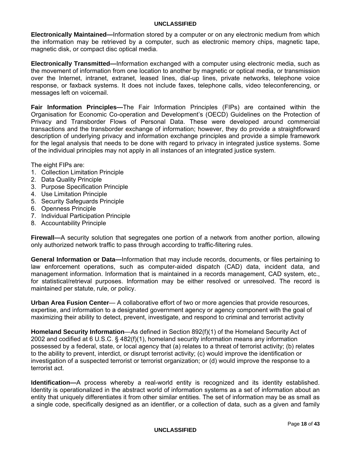**Electronically Maintained—**Information stored by a computer or on any electronic medium from which the information may be retrieved by a computer, such as electronic memory chips, magnetic tape, magnetic disk, or compact disc optical media.

**Electronically Transmitted—**Information exchanged with a computer using electronic media, such as the movement of information from one location to another by magnetic or optical media, or transmission over the Internet, intranet, extranet, leased lines, dial-up lines, private networks, telephone voice response, or faxback systems. It does not include faxes, telephone calls, video teleconferencing, or messages left on voicemail.

**Fair Information Principles—**The Fair Information Principles (FIPs) are contained within the Organisation for Economic Co-operation and Development's (OECD) Guidelines on the Protection of Privacy and Transborder Flows of Personal Data. These were developed around commercial transactions and the transborder exchange of information; however, they do provide a straightforward description of underlying privacy and information exchange principles and provide a simple framework for the legal analysis that needs to be done with regard to privacy in integrated justice systems. Some of the individual principles may not apply in all instances of an integrated justice system.

The eight FIPs are:

- 1. Collection Limitation Principle
- 2. Data Quality Principle
- 3. Purpose Specification Principle
- 4. Use Limitation Principle
- 5. Security Safeguards Principle
- 6. Openness Principle
- 7. Individual Participation Principle
- 8. Accountability Principle

**Firewall—**A security solution that segregates one portion of a network from another portion, allowing only authorized network traffic to pass through according to traffic-filtering rules.

**General Information or Data—**Information that may include records, documents, or files pertaining to law enforcement operations, such as computer-aided dispatch (CAD) data, incident data, and management information. Information that is maintained in a records management, CAD system, etc., for statistical/retrieval purposes. Information may be either resolved or unresolved. The record is maintained per statute, rule, or policy.

**Urban Area Fusion Center**— A collaborative effort of two or more agencies that provide resources, expertise, and information to a designated government agency or agency component with the goal of maximizing their ability to detect, prevent, investigate, and respond to criminal and terrorist activity

**Homeland Security Information**—As defined in Section 892(f)(1) of the Homeland Security Act of 2002 and codified at 6 U.S.C. § 482(f)(1), homeland security information means any information possessed by a federal, state, or local agency that (a) relates to a threat of terrorist activity; (b) relates to the ability to prevent, interdict, or disrupt terrorist activity; (c) would improve the identification or investigation of a suspected terrorist or terrorist organization; or (d) would improve the response to a terrorist act.

**Identification—**A process whereby a real-world entity is recognized and its identity established. Identity is operationalized in the abstract world of information systems as a set of information about an entity that uniquely differentiates it from other similar entities. The set of information may be as small as a single code, specifically designed as an identifier, or a collection of data, such as a given and family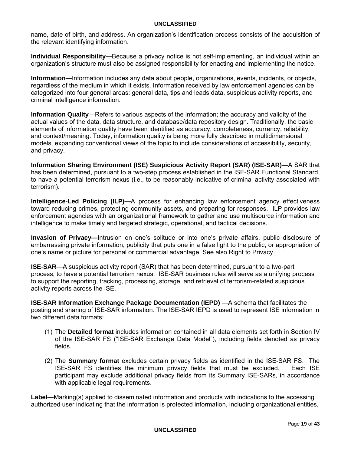name, date of birth, and address. An organization's identification process consists of the acquisition of the relevant identifying information.

**Individual Responsibility—**Because a privacy notice is not self-implementing, an individual within an organization's structure must also be assigned responsibility for enacting and implementing the notice.

**Information**—Information includes any data about people, organizations, events, incidents, or objects, regardless of the medium in which it exists. Information received by law enforcement agencies can be categorized into four general areas: general data, tips and leads data, suspicious activity reports, and criminal intelligence information.

**Information Quality**—Refers to various aspects of the information; the accuracy and validity of the actual values of the data, data structure, and database/data repository design. Traditionally, the basic elements of information quality have been identified as accuracy, completeness, currency, reliability, and context/meaning. Today, information quality is being more fully described in multidimensional models, expanding conventional views of the topic to include considerations of accessibility, security, and privacy.

**Information Sharing Environment (ISE) Suspicious Activity Report (SAR) (ISE-SAR)—**A SAR that has been determined, pursuant to a two-step process established in the ISE-SAR Functional Standard, to have a potential terrorism nexus (i.e., to be reasonably indicative of criminal activity associated with terrorism).

**Intelligence-Led Policing (ILP)—**A process for enhancing law enforcement agency effectiveness toward reducing crimes, protecting community assets, and preparing for responses. ILP provides law enforcement agencies with an organizational framework to gather and use multisource information and intelligence to make timely and targeted strategic, operational, and tactical decisions.

**Invasion of Privacy—**Intrusion on one's solitude or into one's private affairs, public disclosure of embarrassing private information, publicity that puts one in a false light to the public, or appropriation of one's name or picture for personal or commercial advantage. See also Right to Privacy.

**ISE**-**SAR**—A suspicious activity report (SAR) that has been determined, pursuant to a two-part process, to have a potential terrorism nexus. ISE-SAR business rules will serve as a unifying process to support the reporting, tracking, processing, storage, and retrieval of terrorism-related suspicious activity reports across the ISE.

**ISE-SAR Information Exchange Package Documentation (IEPD)** —A schema that facilitates the posting and sharing of ISE-SAR information. The ISE-SAR IEPD is used to represent ISE information in two different data formats:

- (1) The **Detailed format** includes information contained in all data elements set forth in Section IV of the ISE-SAR FS ("ISE-SAR Exchange Data Model"), including fields denoted as privacy fields.
- (2) The **Summary format** excludes certain privacy fields as identified in the ISE-SAR FS. The ISE-SAR FS identifies the minimum privacy fields that must be excluded. Each ISE participant may exclude additional privacy fields from its Summary ISE-SARs, in accordance with applicable legal requirements.

**Label**—Marking(s) applied to disseminated information and products with indications to the accessing authorized user indicating that the information is protected information, including organizational entities,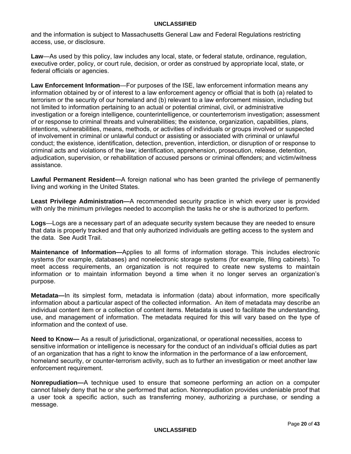and the information is subject to Massachusetts General Law and Federal Regulations restricting access, use, or disclosure.

**Law**—As used by this policy, law includes any local, state, or federal statute, ordinance, regulation, executive order, policy, or court rule, decision, or order as construed by appropriate local, state, or federal officials or agencies.

**Law Enforcement Information**—For purposes of the ISE, law enforcement information means any information obtained by or of interest to a law enforcement agency or official that is both (a) related to terrorism or the security of our homeland and (b) relevant to a law enforcement mission, including but not limited to information pertaining to an actual or potential criminal, civil, or administrative investigation or a foreign intelligence, counterintelligence, or counterterrorism investigation; assessment of or response to criminal threats and vulnerabilities; the existence, organization, capabilities, plans, intentions, vulnerabilities, means, methods, or activities of individuals or groups involved or suspected of involvement in criminal or unlawful conduct or assisting or associated with criminal or unlawful conduct; the existence, identification, detection, prevention, interdiction, or disruption of or response to criminal acts and violations of the law; identification, apprehension, prosecution, release, detention, adjudication, supervision, or rehabilitation of accused persons or criminal offenders; and victim/witness assistance.

**Lawful Permanent Resident—**A foreign national who has been granted the privilege of permanently living and working in the United States.

**Least Privilege Administration—**A recommended security practice in which every user is provided with only the minimum privileges needed to accomplish the tasks he or she is authorized to perform.

**Logs**—Logs are a necessary part of an adequate security system because they are needed to ensure that data is properly tracked and that only authorized individuals are getting access to the system and the data. See Audit Trail.

**Maintenance of Information—**Applies to all forms of information storage. This includes electronic systems (for example, databases) and nonelectronic storage systems (for example, filing cabinets). To meet access requirements, an organization is not required to create new systems to maintain information or to maintain information beyond a time when it no longer serves an organization's purpose.

**Metadata—**In its simplest form, metadata is information (data) about information, more specifically information about a particular aspect of the collected information. An item of metadata may describe an individual content item or a collection of content items. Metadata is used to facilitate the understanding, use, and management of information. The metadata required for this will vary based on the type of information and the context of use.

**Need to Know—** As a result of jurisdictional, organizational, or operational necessities, access to sensitive information or intelligence is necessary for the conduct of an individual's official duties as part of an organization that has a right to know the information in the performance of a law enforcement, homeland security, or counter-terrorism activity, such as to further an investigation or meet another law enforcement requirement.

**Nonrepudiation—**A technique used to ensure that someone performing an action on a computer cannot falsely deny that he or she performed that action. Nonrepudiation provides undeniable proof that a user took a specific action, such as transferring money, authorizing a purchase, or sending a message.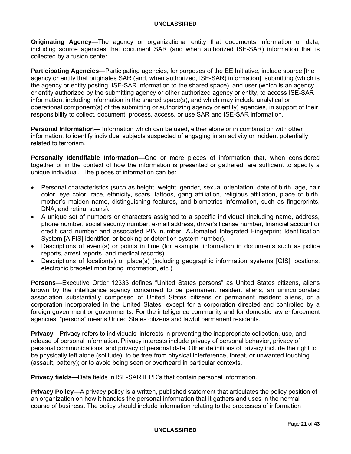**Originating Agency—**The agency or organizational entity that documents information or data, including source agencies that document SAR (and when authorized ISE-SAR) information that is collected by a fusion center.

**Participating Agencies**—Participating agencies, for purposes of the EE Initiative, include source [the agency or entity that originates SAR (and, when authorized, ISE-SAR) information], submitting (which is the agency or entity posting ISE-SAR information to the shared space), and user (which is an agency or entity authorized by the submitting agency or other authorized agency or entity, to access ISE-SAR information, including information in the shared space(s), and which may include analytical or operational component(s) of the submitting or authorizing agency or entity) agencies, in support of their responsibility to collect, document, process, access, or use SAR and ISE-SAR information.

**Personal Information**— Information which can be used, either alone or in combination with other information, to identify individual subjects suspected of engaging in an activity or incident potentially related to terrorism.

**Personally Identifiable Information—**One or more pieces of information that, when considered together or in the context of how the information is presented or gathered, are sufficient to specify a unique individual. The pieces of information can be:

- Personal characteristics (such as height, weight, gender, sexual orientation, date of birth, age, hair color, eye color, race, ethnicity, scars, tattoos, gang affiliation, religious affiliation, place of birth, mother's maiden name, distinguishing features, and biometrics information, such as fingerprints, DNA, and retinal scans).
- A unique set of numbers or characters assigned to a specific individual (including name, address, phone number, social security number, e-mail address, driver's license number, financial account or credit card number and associated PIN number, Automated Integrated Fingerprint Identification System [AIFIS] identifier, or booking or detention system number).
- Descriptions of event(s) or points in time (for example, information in documents such as police reports, arrest reports, and medical records).
- Descriptions of location(s) or place(s) (including geographic information systems [GIS] locations, electronic bracelet monitoring information, etc.).

**Persons—**Executive Order 12333 defines "United States persons" as United States citizens, aliens known by the intelligence agency concerned to be permanent resident aliens, an unincorporated association substantially composed of United States citizens or permanent resident aliens, or a corporation incorporated in the United States, except for a corporation directed and controlled by a foreign government or governments. For the intelligence community and for domestic law enforcement agencies, "persons" means United States citizens and lawful permanent residents.

**Privacy**—Privacy refers to individuals' interests in preventing the inappropriate collection, use, and release of personal information. Privacy interests include privacy of personal behavior, privacy of personal communications, and privacy of personal data. Other definitions of privacy include the right to be physically left alone (solitude); to be free from physical interference, threat, or unwanted touching (assault, battery); or to avoid being seen or overheard in particular contexts.

**Privacy fields**—Data fields in ISE-SAR IEPD's that contain personal information.

**Privacy Policy**—A privacy policy is a written, published statement that articulates the policy position of an organization on how it handles the personal information that it gathers and uses in the normal course of business. The policy should include information relating to the processes of information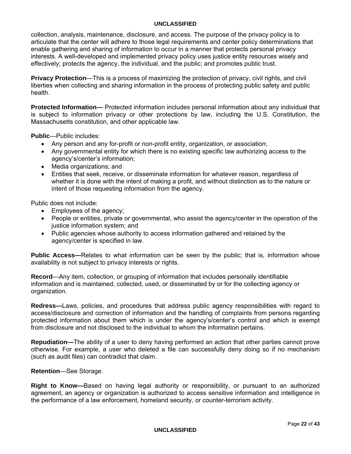collection, analysis, maintenance, disclosure, and access. The purpose of the privacy policy is to articulate that the center will adhere to those legal requirements and center policy determinations that enable gathering and sharing of information to occur in a manner that protects personal privacy interests. A well-developed and implemented privacy policy uses justice entity resources wisely and effectively; protects the agency, the individual, and the public; and promotes public trust.

**Privacy Protection**—This is a process of maximizing the protection of privacy, civil rights, and civil liberties when collecting and sharing information in the process of protecting public safety and public health.

**Protected Information—** Protected information includes personal information about any individual that is subject to information privacy or other protections by law, including the U.S. Constitution, the Massachusetts constitution, and other applicable law.

**Public**—Public includes:

- Any person and any for-profit or non-profit entity, organization, or association;
- Any governmental entity for which there is no existing specific law authorizing access to the agency's/center's information;
- Media organizations; and
- Entities that seek, receive, or disseminate information for whatever reason, regardless of whether it is done with the intent of making a profit, and without distinction as to the nature or intent of those requesting information from the agency.

Public does not include:

- Employees of the agency;
- People or entities, private or governmental, who assist the agency/center in the operation of the justice information system; and
- Public agencies whose authority to access information gathered and retained by the agency/center is specified in law.

**Public Access—**Relates to what information can be seen by the public; that is, information whose availability is not subject to privacy interests or rights.

**Record**—Any item, collection, or grouping of information that includes personally identifiable information and is maintained, collected, used, or disseminated by or for the collecting agency or organization.

**Redress—**Laws, policies, and procedures that address public agency responsibilities with regard to access/disclosure and correction of information and the handling of complaints from persons regarding protected information about them which is under the agency's/center's control and which is exempt from disclosure and not disclosed to the individual to whom the information pertains.

**Repudiation—**The ability of a user to deny having performed an action that other parties cannot prove otherwise. For example, a user who deleted a file can successfully deny doing so if no mechanism (such as audit files) can contradict that claim.

**Retention**—See Storage.

**Right to Know—**Based on having legal authority or responsibility, or pursuant to an authorized agreement, an agency or organization is authorized to access sensitive information and intelligence in the performance of a law enforcement, homeland security, or counter-terrorism activity.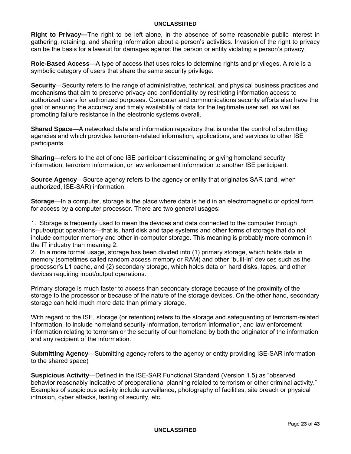**Right to Privacy—**The right to be left alone, in the absence of some reasonable public interest in gathering, retaining, and sharing information about a person's activities. Invasion of the right to privacy can be the basis for a lawsuit for damages against the person or entity violating a person's privacy.

**Role-Based Access**—A type of access that uses roles to determine rights and privileges. A role is a symbolic category of users that share the same security privilege.

**Security**—Security refers to the range of administrative, technical, and physical business practices and mechanisms that aim to preserve privacy and confidentiality by restricting information access to authorized users for authorized purposes. Computer and communications security efforts also have the goal of ensuring the accuracy and timely availability of data for the legitimate user set, as well as promoting failure resistance in the electronic systems overall.

**Shared Space**—A networked data and information repository that is under the control of submitting agencies and which provides terrorism-related information, applications, and services to other ISE participants.

**Sharing**—refers to the act of one ISE participant disseminating or giving homeland security information, terrorism information, or law enforcement information to another ISE participant.

**Source Agency**—Source agency refers to the agency or entity that originates SAR (and, when authorized, ISE-SAR) information.

**Storage**—In a computer, storage is the place where data is held in an electromagnetic or optical form for access by a computer processor. There are two general usages:

1. Storage is frequently used to mean the devices and data connected to the computer through input/output operations—that is, hard disk and tape systems and other forms of storage that do not include computer memory and other in-computer storage. This meaning is probably more common in the IT industry than meaning 2.

2. In a more formal usage, storage has been divided into (1) primary storage, which holds data in memory (sometimes called random access memory or RAM) and other "built-in" devices such as the processor's L1 cache, and (2) secondary storage, which holds data on hard disks, tapes, and other devices requiring input/output operations.

Primary storage is much faster to access than secondary storage because of the proximity of the storage to the processor or because of the nature of the storage devices. On the other hand, secondary storage can hold much more data than primary storage.

With regard to the ISE, storage (or retention) refers to the storage and safeguarding of terrorism-related information, to include homeland security information, terrorism information, and law enforcement information relating to terrorism or the security of our homeland by both the originator of the information and any recipient of the information.

**Submitting Agency**—Submitting agency refers to the agency or entity providing ISE-SAR information to the shared space)

**Suspicious Activity**—Defined in the ISE-SAR Functional Standard (Version 1.5) as "observed behavior reasonably indicative of preoperational planning related to terrorism or other criminal activity." Examples of suspicious activity include surveillance, photography of facilities, site breach or physical intrusion, cyber attacks, testing of security, etc.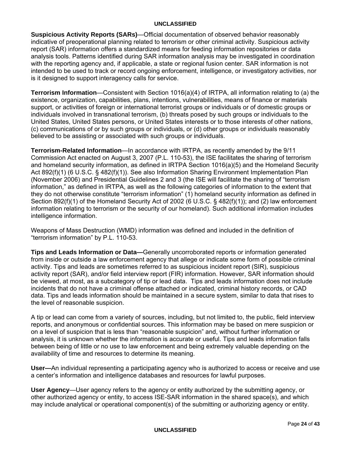**Suspicious Activity Reports (SARs)**—Official documentation of observed behavior reasonably indicative of preoperational planning related to terrorism or other criminal activity. Suspicious activity report (SAR) information offers a standardized means for feeding information repositories or data analysis tools. Patterns identified during SAR information analysis may be investigated in coordination with the reporting agency and, if applicable, a state or regional fusion center. SAR information is not intended to be used to track or record ongoing enforcement, intelligence, or investigatory activities, nor is it designed to support interagency calls for service.

**Terrorism Information**—Consistent with Section 1016(a)(4) of IRTPA, all information relating to (a) the existence, organization, capabilities, plans, intentions, vulnerabilities, means of finance or materials support, or activities of foreign or international terrorist groups or individuals or of domestic groups or individuals involved in transnational terrorism, (b) threats posed by such groups or individuals to the United States, United States persons, or United States interests or to those interests of other nations, (c) communications of or by such groups or individuals, or (d) other groups or individuals reasonably believed to be assisting or associated with such groups or individuals.

**Terrorism-Related Information**—In accordance with IRTPA, as recently amended by the 9/11 Commission Act enacted on August 3, 2007 (P.L. 110-53), the ISE facilitates the sharing of terrorism and homeland security information, as defined in IRTPA Section 1016(a)(5) and the Homeland Security Act 892(f)(1) (6 U.S.C. § 482(f)(1)). See also Information Sharing Environment Implementation Plan (November 2006) and Presidential Guidelines 2 and 3 (the ISE will facilitate the sharing of "terrorism information," as defined in IRTPA, as well as the following categories of information to the extent that they do not otherwise constitute "terrorism information" (1) homeland security information as defined in Section 892(f)(1) of the Homeland Security Act of 2002 (6 U.S.C. § 482(f)(1)); and (2) law enforcement information relating to terrorism or the security of our homeland). Such additional information includes intelligence information.

Weapons of Mass Destruction (WMD) information was defined and included in the definition of "terrorism information" by P.L. 110-53.

**Tips and Leads Information or Data—**Generally uncorroborated reports or information generated from inside or outside a law enforcement agency that allege or indicate some form of possible criminal activity. Tips and leads are sometimes referred to as suspicious incident report (SIR), suspicious activity report (SAR), and/or field interview report (FIR) information. However, SAR information should be viewed, at most, as a subcategory of tip or lead data. Tips and leads information does not include incidents that do not have a criminal offense attached or indicated, criminal history records, or CAD data. Tips and leads information should be maintained in a secure system, similar to data that rises to the level of reasonable suspicion.

A tip or lead can come from a variety of sources, including, but not limited to, the public, field interview reports, and anonymous or confidential sources. This information may be based on mere suspicion or on a level of suspicion that is less than "reasonable suspicion" and, without further information or analysis, it is unknown whether the information is accurate or useful. Tips and leads information falls between being of little or no use to law enforcement and being extremely valuable depending on the availability of time and resources to determine its meaning.

**User—**An individual representing a participating agency who is authorized to access or receive and use a center's information and intelligence databases and resources for lawful purposes.

**User Agency**—User agency refers to the agency or entity authorized by the submitting agency, or other authorized agency or entity, to access ISE-SAR information in the shared space(s), and which may include analytical or operational component(s) of the submitting or authorizing agency or entity.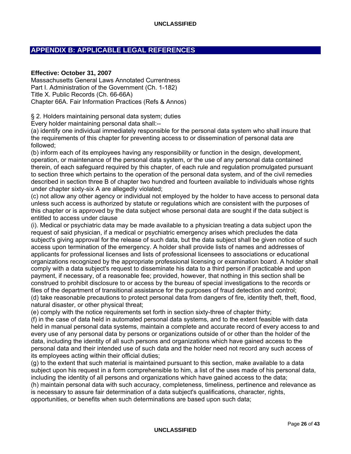## **APPENDIX B: APPLICABLE LEGAL REFERENCES**

#### **Effective: October 31, 2007**

Massachusetts General Laws Annotated Currentness Part I. Administration of the Government (Ch. 1-182) Title X. Public Records (Ch. 66-66A) Chapter 66A. Fair Information Practices (Refs & Annos)

§ 2. Holders maintaining personal data system; duties

Every holder maintaining personal data shall:--

(a) identify one individual immediately responsible for the personal data system who shall insure that the requirements of this chapter for preventing access to or dissemination of personal data are followed;

(b) inform each of its employees having any responsibility or function in the design, development, operation, or maintenance of the personal data system, or the use of any personal data contained therein, of each safeguard required by this chapter, of each rule and regulation promulgated pursuant to section three which pertains to the operation of the personal data system, and of the civil remedies described in section three B of chapter two hundred and fourteen available to individuals whose rights under chapter sixty-six A are allegedly violated;

(c) not allow any other agency or individual not employed by the holder to have access to personal data unless such access is authorized by statute or regulations which are consistent with the purposes of this chapter or is approved by the data subject whose personal data are sought if the data subject is entitled to access under clause

(i). Medical or psychiatric data may be made available to a physician treating a data subject upon the request of said physician, if a medical or psychiatric emergency arises which precludes the data subject's giving approval for the release of such data, but the data subject shall be given notice of such access upon termination of the emergency. A holder shall provide lists of names and addresses of applicants for professional licenses and lists of professional licensees to associations or educational organizations recognized by the appropriate professional licensing or examination board. A holder shall comply with a data subject's request to disseminate his data to a third person if practicable and upon payment, if necessary, of a reasonable fee; provided, however, that nothing in this section shall be construed to prohibit disclosure to or access by the bureau of special investigations to the records or files of the department of transitional assistance for the purposes of fraud detection and control; (d) take reasonable precautions to protect personal data from dangers of fire, identity theft, theft, flood, natural disaster, or other physical threat;

(e) comply with the notice requirements set forth in section sixty-three of chapter thirty;

(f) in the case of data held in automated personal data systems, and to the extent feasible with data held in manual personal data systems, maintain a complete and accurate record of every access to and every use of any personal data by persons or organizations outside of or other than the holder of the data, including the identity of all such persons and organizations which have gained access to the personal data and their intended use of such data and the holder need not record any such access of its employees acting within their official duties;

(g) to the extent that such material is maintained pursuant to this section, make available to a data subject upon his request in a form comprehensible to him, a list of the uses made of his personal data, including the identity of all persons and organizations which have gained access to the data;

(h) maintain personal data with such accuracy, completeness, timeliness, pertinence and relevance as is necessary to assure fair determination of a data subject's qualifications, character, rights, opportunities, or benefits when such determinations are based upon such data;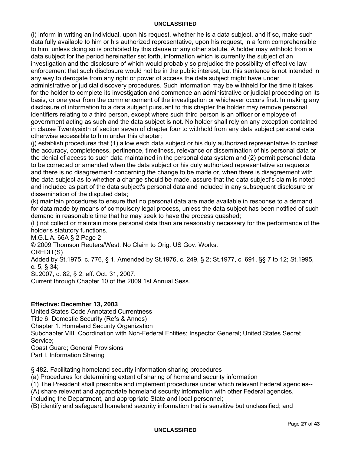(i) inform in writing an individual, upon his request, whether he is a data subject, and if so, make such data fully available to him or his authorized representative, upon his request, in a form comprehensible to him, unless doing so is prohibited by this clause or any other statute. A holder may withhold from a data subject for the period hereinafter set forth, information which is currently the subject of an investigation and the disclosure of which would probably so prejudice the possibility of effective law enforcement that such disclosure would not be in the public interest, but this sentence is not intended in any way to derogate from any right or power of access the data subject might have under administrative or judicial discovery procedures. Such information may be withheld for the time it takes for the holder to complete its investigation and commence an administrative or judicial proceeding on its basis, or one year from the commencement of the investigation or whichever occurs first. In making any disclosure of information to a data subject pursuant to this chapter the holder may remove personal identifiers relating to a third person, except where such third person is an officer or employee of government acting as such and the data subject is not. No holder shall rely on any exception contained in clause Twentysixth of section seven of chapter four to withhold from any data subject personal data otherwise accessible to him under this chapter;

(j) establish procedures that (1) allow each data subject or his duly authorized representative to contest the accuracy, completeness, pertinence, timeliness, relevance or dissemination of his personal data or the denial of access to such data maintained in the personal data system and (2) permit personal data to be corrected or amended when the data subject or his duly authorized representative so requests and there is no disagreement concerning the change to be made or, when there is disagreement with the data subject as to whether a change should be made, assure that the data subject's claim is noted and included as part of the data subject's personal data and included in any subsequent disclosure or dissemination of the disputed data;

(k) maintain procedures to ensure that no personal data are made available in response to a demand for data made by means of compulsory legal process, unless the data subject has been notified of such demand in reasonable time that he may seek to have the process quashed;

(l ) not collect or maintain more personal data than are reasonably necessary for the performance of the holder's statutory functions.

M.G.L.A. 66A § 2 Page 2

© 2009 Thomson Reuters/West. No Claim to Orig. US Gov. Works.

CREDIT(S)

Added by St.1975, c. 776, § 1. Amended by St.1976, c. 249, § 2; St.1977, c. 691, §§ 7 to 12; St.1995, c. 5, § 34;

St.2007, c. 82, § 2, eff. Oct. 31, 2007.

Current through Chapter 10 of the 2009 1st Annual Sess.

## **Effective: December 13, 2003**

United States Code Annotated Currentness Title 6. Domestic Security (Refs & Annos) Chapter 1. Homeland Security Organization Subchapter VIII. Coordination with Non-Federal Entities; Inspector General; United States Secret Service; Coast Guard; General Provisions Part I. Information Sharing

§ 482. Facilitating homeland security information sharing procedures

(a) Procedures for determining extent of sharing of homeland security information

(1) The President shall prescribe and implement procedures under which relevant Federal agencies--

(A) share relevant and appropriate homeland security information with other Federal agencies,

including the Department, and appropriate State and local personnel;

(B) identify and safeguard homeland security information that is sensitive but unclassified; and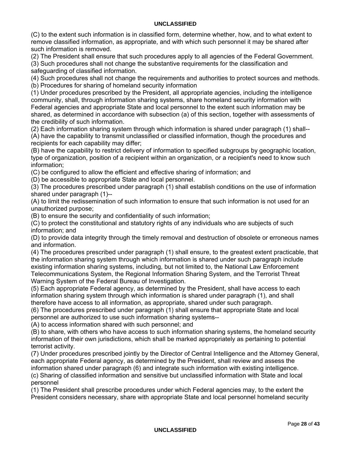(C) to the extent such information is in classified form, determine whether, how, and to what extent to remove classified information, as appropriate, and with which such personnel it may be shared after such information is removed.

(2) The President shall ensure that such procedures apply to all agencies of the Federal Government.

(3) Such procedures shall not change the substantive requirements for the classification and safeguarding of classified information.

(4) Such procedures shall not change the requirements and authorities to protect sources and methods. (b) Procedures for sharing of homeland security information

(1) Under procedures prescribed by the President, all appropriate agencies, including the intelligence community, shall, through information sharing systems, share homeland security information with Federal agencies and appropriate State and local personnel to the extent such information may be shared, as determined in accordance with subsection (a) of this section, together with assessments of the credibility of such information.

(2) Each information sharing system through which information is shared under paragraph (1) shall-- (A) have the capability to transmit unclassified or classified information, though the procedures and recipients for each capability may differ;

(B) have the capability to restrict delivery of information to specified subgroups by geographic location, type of organization, position of a recipient within an organization, or a recipient's need to know such information;

(C) be configured to allow the efficient and effective sharing of information; and

(D) be accessible to appropriate State and local personnel.

(3) The procedures prescribed under paragraph (1) shall establish conditions on the use of information shared under paragraph (1)--

(A) to limit the redissemination of such information to ensure that such information is not used for an unauthorized purpose;

(B) to ensure the security and confidentiality of such information;

(C) to protect the constitutional and statutory rights of any individuals who are subjects of such information; and

(D) to provide data integrity through the timely removal and destruction of obsolete or erroneous names and information.

(4) The procedures prescribed under paragraph (1) shall ensure, to the greatest extent practicable, that the information sharing system through which information is shared under such paragraph include existing information sharing systems, including, but not limited to, the National Law Enforcement Telecommunications System, the Regional Information Sharing System, and the Terrorist Threat Warning System of the Federal Bureau of Investigation.

(5) Each appropriate Federal agency, as determined by the President, shall have access to each information sharing system through which information is shared under paragraph (1), and shall therefore have access to all information, as appropriate, shared under such paragraph.

(6) The procedures prescribed under paragraph (1) shall ensure that appropriate State and local personnel are authorized to use such information sharing systems--

(A) to access information shared with such personnel; and

(B) to share, with others who have access to such information sharing systems, the homeland security information of their own jurisdictions, which shall be marked appropriately as pertaining to potential terrorist activity.

(7) Under procedures prescribed jointly by the Director of Central Intelligence and the Attorney General, each appropriate Federal agency, as determined by the President, shall review and assess the information shared under paragraph (6) and integrate such information with existing intelligence. (c) Sharing of classified information and sensitive but unclassified information with State and local personnel

(1) The President shall prescribe procedures under which Federal agencies may, to the extent the President considers necessary, share with appropriate State and local personnel homeland security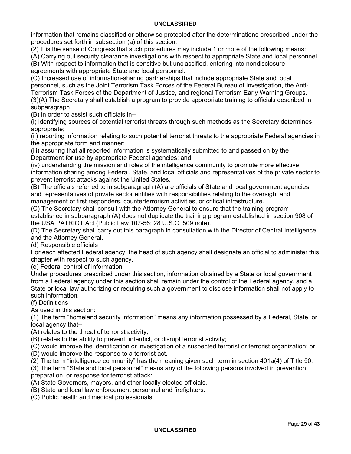information that remains classified or otherwise protected after the determinations prescribed under the procedures set forth in subsection (a) of this section.

(2) It is the sense of Congress that such procedures may include 1 or more of the following means:

(A) Carrying out security clearance investigations with respect to appropriate State and local personnel.

(B) With respect to information that is sensitive but unclassified, entering into nondisclosure agreements with appropriate State and local personnel.

(C) Increased use of information-sharing partnerships that include appropriate State and local personnel, such as the Joint Terrorism Task Forces of the Federal Bureau of Investigation, the Anti-Terrorism Task Forces of the Department of Justice, and regional Terrorism Early Warning Groups. (3)(A) The Secretary shall establish a program to provide appropriate training to officials described in subparagraph

(B) in order to assist such officials in--

(i) identifying sources of potential terrorist threats through such methods as the Secretary determines appropriate;

(ii) reporting information relating to such potential terrorist threats to the appropriate Federal agencies in the appropriate form and manner;

(iii) assuring that all reported information is systematically submitted to and passed on by the Department for use by appropriate Federal agencies; and

(iv) understanding the mission and roles of the intelligence community to promote more effective information sharing among Federal, State, and local officials and representatives of the private sector to prevent terrorist attacks against the United States.

(B) The officials referred to in subparagraph (A) are officials of State and local government agencies and representatives of private sector entities with responsibilities relating to the oversight and management of first responders, counterterrorism activities, or critical infrastructure.

(C) The Secretary shall consult with the Attorney General to ensure that the training program established in subparagraph (A) does not duplicate the training program established in section 908 of the USA PATRIOT Act (Public Law 107-56; 28 U.S.C. 509 note).

(D) The Secretary shall carry out this paragraph in consultation with the Director of Central Intelligence and the Attorney General.

(d) Responsible officials

For each affected Federal agency, the head of such agency shall designate an official to administer this chapter with respect to such agency.

(e) Federal control of information

Under procedures prescribed under this section, information obtained by a State or local government from a Federal agency under this section shall remain under the control of the Federal agency, and a State or local law authorizing or requiring such a government to disclose information shall not apply to such information.

#### (f) Definitions

As used in this section:

(1) The term "homeland security information" means any information possessed by a Federal, State, or local agency that--

(A) relates to the threat of terrorist activity;

(B) relates to the ability to prevent, interdict, or disrupt terrorist activity;

(C) would improve the identification or investigation of a suspected terrorist or terrorist organization; or

(D) would improve the response to a terrorist act.

(2) The term "intelligence community" has the meaning given such term in section 401a(4) of Title 50.

(3) The term "State and local personnel" means any of the following persons involved in prevention, preparation, or response for terrorist attack:

(A) State Governors, mayors, and other locally elected officials.

(B) State and local law enforcement personnel and firefighters.

(C) Public health and medical professionals.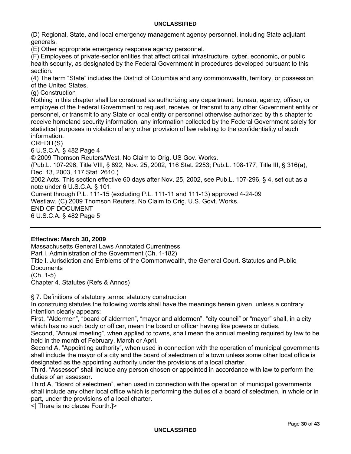(D) Regional, State, and local emergency management agency personnel, including State adjutant generals.

(E) Other appropriate emergency response agency personnel.

(F) Employees of private-sector entities that affect critical infrastructure, cyber, economic, or public health security, as designated by the Federal Government in procedures developed pursuant to this section.

(4) The term "State" includes the District of Columbia and any commonwealth, territory, or possession of the United States.

(g) Construction

Nothing in this chapter shall be construed as authorizing any department, bureau, agency, officer, or employee of the Federal Government to request, receive, or transmit to any other Government entity or personnel, or transmit to any State or local entity or personnel otherwise authorized by this chapter to receive homeland security information, any information collected by the Federal Government solely for statistical purposes in violation of any other provision of law relating to the confidentiality of such information.

CREDIT(S)

6 U.S.C.A. § 482 Page 4 © 2009 Thomson Reuters/West. No Claim to Orig. US Gov. Works. (Pub.L. 107-296, Title VIII, § 892, Nov. 25, 2002, 116 Stat. 2253; Pub.L. 108-177, Title III, § 316(a), Dec. 13, 2003, 117 Stat. 2610.) 2002 Acts. This section effective 60 days after Nov. 25, 2002, see Pub.L. 107-296, § 4, set out as a note under 6 U.S.C.A. § 101. Current through P.L. 111-15 (excluding P.L. 111-11 and 111-13) approved 4-24-09 Westlaw. (C) 2009 Thomson Reuters. No Claim to Orig. U.S. Govt. Works. END OF DOCUMENT 6 U.S.C.A. § 482 Page 5

## **Effective: March 30, 2009**

Massachusetts General Laws Annotated Currentness Part I. Administration of the Government (Ch. 1-182) Title I. Jurisdiction and Emblems of the Commonwealth, the General Court, Statutes and Public **Documents** (Ch. 1-5) Chapter 4. Statutes (Refs & Annos)

§ 7. Definitions of statutory terms; statutory construction In construing statutes the following words shall have the meanings herein given, unless a contrary intention clearly appears:

First, "Aldermen", "board of aldermen", "mayor and aldermen", "city council" or "mayor" shall, in a city which has no such body or officer, mean the board or officer having like powers or duties.

Second, "Annual meeting", when applied to towns, shall mean the annual meeting required by law to be held in the month of February, March or April.

Second A, "Appointing authority", when used in connection with the operation of municipal governments shall include the mayor of a city and the board of selectmen of a town unless some other local office is designated as the appointing authority under the provisions of a local charter.

Third, "Assessor" shall include any person chosen or appointed in accordance with law to perform the duties of an assessor.

Third A, "Board of selectmen", when used in connection with the operation of municipal governments shall include any other local office which is performing the duties of a board of selectmen, in whole or in part, under the provisions of a local charter.

<[ There is no clause Fourth.]>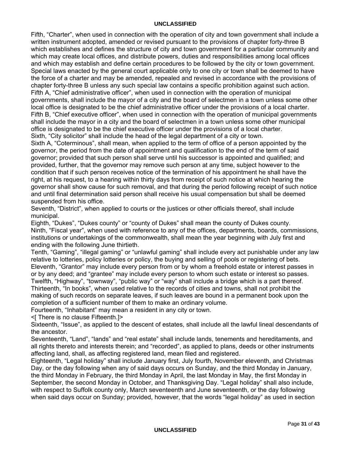Fifth, "Charter", when used in connection with the operation of city and town government shall include a written instrument adopted, amended or revised pursuant to the provisions of chapter forty-three B which establishes and defines the structure of city and town government for a particular community and which may create local offices, and distribute powers, duties and responsibilities among local offices and which may establish and define certain procedures to be followed by the city or town government. Special laws enacted by the general court applicable only to one city or town shall be deemed to have the force of a charter and may be amended, repealed and revised in accordance with the provisions of chapter forty-three B unless any such special law contains a specific prohibition against such action. Fifth A, "Chief administrative officer", when used in connection with the operation of municipal governments, shall include the mayor of a city and the board of selectmen in a town unless some other local office is designated to be the chief administrative officer under the provisions of a local charter. Fifth B, "Chief executive officer", when used in connection with the operation of municipal governments shall include the mayor in a city and the board of selectmen in a town unless some other municipal office is designated to be the chief executive officer under the provisions of a local charter. Sixth, "City solicitor" shall include the head of the legal department of a city or town.

Sixth A, "Coterminous", shall mean, when applied to the term of office of a person appointed by the governor, the period from the date of appointment and qualification to the end of the term of said governor; provided that such person shall serve until his successor is appointed and qualified; and provided, further, that the governor may remove such person at any time, subject however to the condition that if such person receives notice of the termination of his appointment he shall have the right, at his request, to a hearing within thirty days from receipt of such notice at which hearing the governor shall show cause for such removal, and that during the period following receipt of such notice and until final determination said person shall receive his usual compensation but shall be deemed suspended from his office.

Seventh, "District", when applied to courts or the justices or other officials thereof, shall include municipal.

Eighth, "Dukes", "Dukes county" or "county of Dukes" shall mean the county of Dukes county. Ninth, "Fiscal year", when used with reference to any of the offices, departments, boards, commissions, institutions or undertakings of the commonwealth, shall mean the year beginning with July first and ending with the following June thirtieth.

Tenth, "Gaming", "illegal gaming" or "unlawful gaming" shall include every act punishable under any law relative to lotteries, policy lotteries or policy, the buying and selling of pools or registering of bets. Eleventh, "Grantor" may include every person from or by whom a freehold estate or interest passes in or by any deed; and "grantee" may include every person to whom such estate or interest so passes. Twelfth, "Highway", "townway", "public way" or "way" shall include a bridge which is a part thereof. Thirteenth, "In books", when used relative to the records of cities and towns, shall not prohibit the making of such records on separate leaves, if such leaves are bound in a permanent book upon the completion of a sufficient number of them to make an ordinary volume.

Fourteenth, "Inhabitant" may mean a resident in any city or town.

<[ There is no clause Fifteenth.]>

Sixteenth, "Issue", as applied to the descent of estates, shall include all the lawful lineal descendants of the ancestor.

Seventeenth, "Land", "lands" and "real estate" shall include lands, tenements and hereditaments, and all rights thereto and interests therein; and "recorded", as applied to plans, deeds or other instruments affecting land, shall, as affecting registered land, mean filed and registered.

Eighteenth, "Legal holiday" shall include January first, July fourth, November eleventh, and Christmas Day, or the day following when any of said days occurs on Sunday, and the third Monday in January, the third Monday in February, the third Monday in April, the last Monday in May, the first Monday in September, the second Monday in October, and Thanksgiving Day. "Legal holiday" shall also include, with respect to Suffolk county only, March seventeenth and June seventeenth, or the day following when said days occur on Sunday; provided, however, that the words "legal holiday" as used in section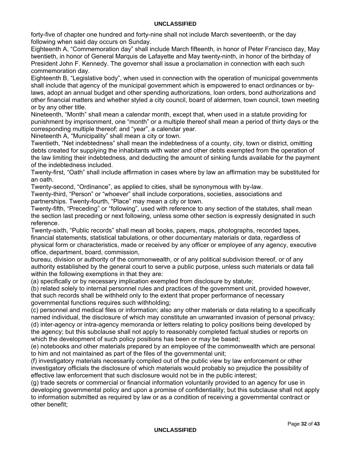forty-five of chapter one hundred and forty-nine shall not include March seventeenth, or the day following when said day occurs on Sunday.

Eighteenth A, "Commemoration day" shall include March fifteenth, in honor of Peter Francisco day, May twentieth, in honor of General Marquis de Lafayette and May twenty-ninth, in honor of the birthday of President John F. Kennedy. The governor shall issue a proclamation in connection with each such commemoration day.

Eighteenth B, "Legislative body", when used in connection with the operation of municipal governments shall include that agency of the municipal government which is empowered to enact ordinances or bylaws, adopt an annual budget and other spending authorizations, loan orders, bond authorizations and other financial matters and whether styled a city council, board of aldermen, town council, town meeting or by any other title.

Nineteenth, "Month" shall mean a calendar month, except that, when used in a statute providing for punishment by imprisonment, one "month" or a multiple thereof shall mean a period of thirty days or the corresponding multiple thereof; and "year", a calendar year.

Nineteenth A, "Municipality" shall mean a city or town.

Twentieth, "Net indebtedness" shall mean the indebtedness of a county, city, town or district, omitting debts created for supplying the inhabitants with water and other debts exempted from the operation of the law limiting their indebtedness, and deducting the amount of sinking funds available for the payment of the indebtedness included.

Twenty-first, "Oath" shall include affirmation in cases where by law an affirmation may be substituted for an oath.

Twenty-second, "Ordinance", as applied to cities, shall be synonymous with by-law.

Twenty-third, "Person" or "whoever" shall include corporations, societies, associations and partnerships. Twenty-fourth, "Place" may mean a city or town.

Twenty-fifth, "Preceding" or "following", used with reference to any section of the statutes, shall mean the section last preceding or next following, unless some other section is expressly designated in such reference.

Twenty-sixth, "Public records" shall mean all books, papers, maps, photographs, recorded tapes, financial statements, statistical tabulations, or other documentary materials or data, regardless of physical form or characteristics, made or received by any officer or employee of any agency, executive office, department, board, commission,

bureau, division or authority of the commonwealth, or of any political subdivision thereof, or of any authority established by the general court to serve a public purpose, unless such materials or data fall within the following exemptions in that they are:

(a) specifically or by necessary implication exempted from disclosure by statute;

(b) related solely to internal personnel rules and practices of the government unit, provided however, that such records shall be withheld only to the extent that proper performance of necessary governmental functions requires such withholding;

(c) personnel and medical files or information; also any other materials or data relating to a specifically named individual, the disclosure of which may constitute an unwarranted invasion of personal privacy; (d) inter-agency or intra-agency memoranda or letters relating to policy positions being developed by

the agency; but this subclause shall not apply to reasonably completed factual studies or reports on which the development of such policy positions has been or may be based;

(e) notebooks and other materials prepared by an employee of the commonwealth which are personal to him and not maintained as part of the files of the governmental unit;

(f) investigatory materials necessarily compiled out of the public view by law enforcement or other investigatory officials the disclosure of which materials would probably so prejudice the possibility of effective law enforcement that such disclosure would not be in the public interest;

(g) trade secrets or commercial or financial information voluntarily provided to an agency for use in developing governmental policy and upon a promise of confidentiality; but this subclause shall not apply to information submitted as required by law or as a condition of receiving a governmental contract or other benefit;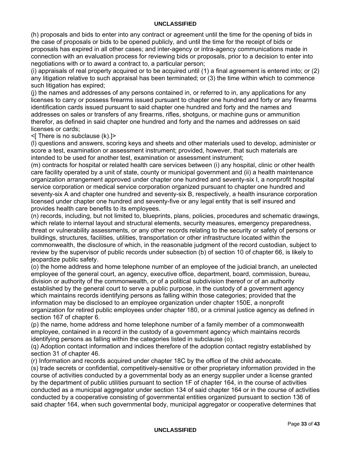(h) proposals and bids to enter into any contract or agreement until the time for the opening of bids in the case of proposals or bids to be opened publicly, and until the time for the receipt of bids or proposals has expired in all other cases; and inter-agency or intra-agency communications made in connection with an evaluation process for reviewing bids or proposals, prior to a decision to enter into negotiations with or to award a contract to, a particular person;

(i) appraisals of real property acquired or to be acquired until (1) a final agreement is entered into; or (2) any litigation relative to such appraisal has been terminated; or (3) the time within which to commence such litigation has expired;

(j) the names and addresses of any persons contained in, or referred to in, any applications for any licenses to carry or possess firearms issued pursuant to chapter one hundred and forty or any firearms identification cards issued pursuant to said chapter one hundred and forty and the names and addresses on sales or transfers of any firearms, rifles, shotguns, or machine guns or ammunition therefor, as defined in said chapter one hundred and forty and the names and addresses on said licenses or cards;

<[ There is no subclause (k).]>

(l) questions and answers, scoring keys and sheets and other materials used to develop, administer or score a test, examination or assessment instrument; provided, however, that such materials are intended to be used for another test, examination or assessment instrument;

(m) contracts for hospital or related health care services between (i) any hospital, clinic or other health care facility operated by a unit of state, county or municipal government and (ii) a health maintenance organization arrangement approved under chapter one hundred and seventy-six I, a nonprofit hospital service corporation or medical service corporation organized pursuant to chapter one hundred and seventy-six A and chapter one hundred and seventy-six B, respectively, a health insurance corporation licensed under chapter one hundred and seventy-five or any legal entity that is self insured and provides health care benefits to its employees.

(n) records, including, but not limited to, blueprints, plans, policies, procedures and schematic drawings, which relate to internal layout and structural elements, security measures, emergency preparedness, threat or vulnerability assessments, or any other records relating to the security or safety of persons or buildings, structures, facilities, utilities, transportation or other infrastructure located within the commonwealth, the disclosure of which, in the reasonable judgment of the record custodian, subject to review by the supervisor of public records under subsection (b) of section 10 of chapter 66, is likely to jeopardize public safety.

(o) the home address and home telephone number of an employee of the judicial branch, an unelected employee of the general court, an agency, executive office, department, board, commission, bureau, division or authority of the commonwealth, or of a political subdivision thereof or of an authority established by the general court to serve a public purpose, in the custody of a government agency which maintains records identifying persons as falling within those categories; provided that the information may be disclosed to an employee organization under chapter 150E, a nonprofit organization for retired public employees under chapter 180, or a criminal justice agency as defined in section 167 of chapter 6.

(p) the name, home address and home telephone number of a family member of a commonwealth employee, contained in a record in the custody of a government agency which maintains records identifying persons as falling within the categories listed in subclause (o).

(q) Adoption contact information and indices therefore of the adoption contact registry established by section 31 of chapter 46.

(r) Information and records acquired under chapter 18C by the office of the child advocate.

(s) trade secrets or confidential, competitively-sensitive or other proprietary information provided in the course of activities conducted by a governmental body as an energy supplier under a license granted by the department of public utilities pursuant to section 1F of chapter 164, in the course of activities conducted as a municipal aggregator under section 134 of said chapter 164 or in the course of activities conducted by a cooperative consisting of governmental entities organized pursuant to section 136 of said chapter 164, when such governmental body, municipal aggregator or cooperative determines that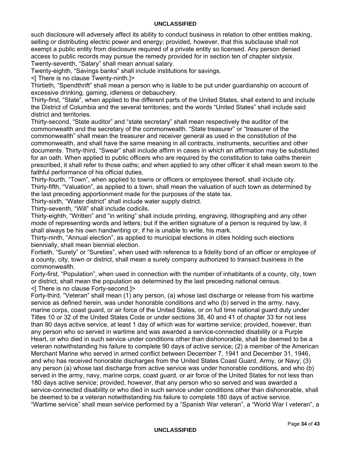such disclosure will adversely affect its ability to conduct business in relation to other entities making, selling or distributing electric power and energy; provided, however, that this subclause shall not exempt a public entity from disclosure required of a private entity so licensed. Any person denied access to public records may pursue the remedy provided for in section ten of chapter sixtysix. Twenty-seventh, "Salary" shall mean annual salary.

Twenty-eighth, "Savings banks" shall include institutions for savings.

<[ There is no clause Twenty-ninth.]>

Thirtieth, "Spendthrift" shall mean a person who is liable to be put under guardianship on account of excessive drinking, gaming, idleness or debauchery.

Thirty-first, "State", when applied to the different parts of the United States, shall extend to and include the District of Columbia and the several territories; and the words "United States" shall include said district and territories.

Thirty-second, "State auditor" and "state secretary" shall mean respectively the auditor of the commonwealth and the secretary of the commonwealth. "State treasurer" or "treasurer of the commonwealth" shall mean the treasurer and receiver general as used in the constitution of the commonwealth, and shall have the same meaning in all contracts, instruments, securities and other documents. Thirty-third, "Swear" shall include affirm in cases in which an affirmation may be substituted for an oath. When applied to public officers who are required by the constitution to take oaths therein prescribed, it shall refer to those oaths; and when applied to any other officer it shall mean sworn to the faithful performance of his official duties.

Thirty-fourth, "Town", when applied to towns or officers or employees thereof, shall include city. Thirty-fifth, "Valuation", as applied to a town, shall mean the valuation of such town as determined by the last preceding apportionment made for the purposes of the state tax.

Thirty-sixth, "Water district" shall include water supply district.

Thirty-seventh, "Will" shall include codicils.

Thirty-eighth, "Written" and "in writing" shall include printing, engraving, lithographing and any other mode of representing words and letters; but if the written signature of a person is required by law, it shall always be his own handwriting or, if he is unable to write, his mark.

Thirty-ninth, "Annual election", as applied to municipal elections in cities holding such elections biennially, shall mean biennial election.

Fortieth, "Surety" or "Sureties", when used with reference to a fidelity bond of an officer or employee of a county, city, town or district, shall mean a surety company authorized to transact business in the commonwealth.

Forty-first, "Population", when used in connection with the number of inhabitants of a county, city, town or district, shall mean the population as determined by the last preceding national census. <[ There is no clause Forty-second.]>

Forty-third, "Veteran" shall mean (1) any person, (a) whose last discharge or release from his wartime service as defined herein, was under honorable conditions and who (b) served in the army, navy, marine corps, coast guard, or air force of the United States, or on full time national guard duty under Titles 10 or 32 of the United States Code or under sections 38, 40 and 41 of chapter 33 for not less than 90 days active service, at least 1 day of which was for wartime service; provided, however, than any person who so served in wartime and was awarded a service-connected disability or a Purple Heart, or who died in such service under conditions other than dishonorable, shall be deemed to be a veteran notwithstanding his failure to complete 90 days of active service; (2) a member of the American Merchant Marine who served in armed conflict between December 7, 1941 and December 31, 1946, and who has received honorable discharges from the United States Coast Guard, Army, or Navy; (3) any person (a) whose last discharge from active service was under honorable conditions, and who (b) served in the army, navy, marine corps, coast guard, or air force of the United States for not less than 180 days active service; provided, however, that any person who so served and was awarded a service-connected disability or who died in such service under conditions other than dishonorable, shall be deemed to be a veteran notwithstanding his failure to complete 180 days of active service. "Wartime service" shall mean service performed by a "Spanish War veteran", a "World War I veteran", a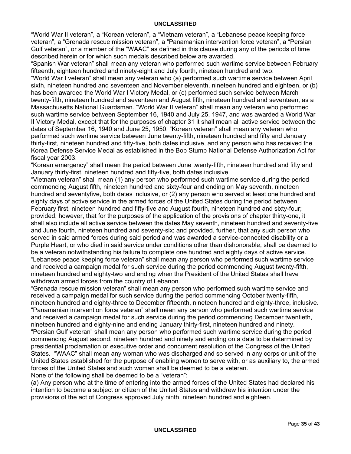"World War II veteran", a "Korean veteran", a "Vietnam veteran", a "Lebanese peace keeping force veteran", a "Grenada rescue mission veteran", a "Panamanian intervention force veteran", a "Persian Gulf veteran", or a member of the "WAAC" as defined in this clause during any of the periods of time described herein or for which such medals described below are awarded.

"Spanish War veteran" shall mean any veteran who performed such wartime service between February fifteenth, eighteen hundred and ninety-eight and July fourth, nineteen hundred and two.

"World War I veteran" shall mean any veteran who (a) performed such wartime service between April sixth, nineteen hundred and seventeen and November eleventh, nineteen hundred and eighteen, or (b) has been awarded the World War I Victory Medal, or (c) performed such service between March twenty-fifth, nineteen hundred and seventeen and August fifth, nineteen hundred and seventeen, as a Massachusetts National Guardsman. "World War II veteran" shall mean any veteran who performed such wartime service between September 16, 1940 and July 25, 1947, and was awarded a World War II Victory Medal, except that for the purposes of chapter 31 it shall mean all active service between the dates of September 16, 1940 and June 25, 1950. "Korean veteran" shall mean any veteran who performed such wartime service between June twenty-fifth, nineteen hundred and fifty and January thirty-first, nineteen hundred and fifty-five, both dates inclusive, and any person who has received the Korea Defense Service Medal as established in the Bob Stump National Defense Authorization Act for fiscal year 2003.

"Korean emergency" shall mean the period between June twenty-fifth, nineteen hundred and fifty and January thirty-first, nineteen hundred and fifty-five, both dates inclusive.

"Vietnam veteran" shall mean (1) any person who performed such wartime service during the period commencing August fifth, nineteen hundred and sixty-four and ending on May seventh, nineteen hundred and seventyfive, both dates inclusive, or (2) any person who served at least one hundred and eighty days of active service in the armed forces of the United States during the period between February first, nineteen hundred and fifty-five and August fourth, nineteen hundred and sixty-four; provided, however, that for the purposes of the application of the provisions of chapter thirty-one, it shall also include all active service between the dates May seventh, nineteen hundred and seventy-five and June fourth, nineteen hundred and seventy-six; and provided, further, that any such person who served in said armed forces during said period and was awarded a service-connected disability or a Purple Heart, or who died in said service under conditions other than dishonorable, shall be deemed to be a veteran notwithstanding his failure to complete one hundred and eighty days of active service. "Lebanese peace keeping force veteran" shall mean any person who performed such wartime service and received a campaign medal for such service during the period commencing August twenty-fifth, nineteen hundred and eighty-two and ending when the President of the United States shall have withdrawn armed forces from the country of Lebanon.

"Grenada rescue mission veteran" shall mean any person who performed such wartime service and received a campaign medal for such service during the period commencing October twenty-fifth, nineteen hundred and eighty-three to December fifteenth, nineteen hundred and eighty-three, inclusive. "Panamanian intervention force veteran" shall mean any person who performed such wartime service and received a campaign medal for such service during the period commencing December twentieth, nineteen hundred and eighty-nine and ending January thirty-first, nineteen hundred and ninety. "Persian Gulf veteran" shall mean any person who performed such wartime service during the period commencing August second, nineteen hundred and ninety and ending on a date to be determined by presidential proclamation or executive order and concurrent resolution of the Congress of the United States. "WAAC" shall mean any woman who was discharged and so served in any corps or unit of the United States established for the purpose of enabling women to serve with, or as auxiliary to, the armed forces of the United States and such woman shall be deemed to be a veteran. None of the following shall be deemed to be a "veteran":

(a) Any person who at the time of entering into the armed forces of the United States had declared his intention to become a subject or citizen of the United States and withdrew his intention under the provisions of the act of Congress approved July ninth, nineteen hundred and eighteen.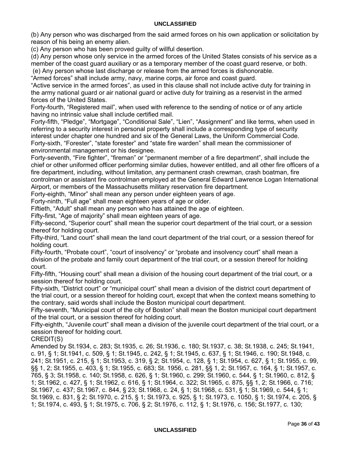(b) Any person who was discharged from the said armed forces on his own application or solicitation by reason of his being an enemy alien.

(c) Any person who has been proved guilty of willful desertion.

(d) Any person whose only service in the armed forces of the United States consists of his service as a member of the coast guard auxiliary or as a temporary member of the coast guard reserve, or both.

(e) Any person whose last discharge or release from the armed forces is dishonorable.

"Armed forces" shall include army, navy, marine corps, air force and coast guard.

"Active service in the armed forces", as used in this clause shall not include active duty for training in the army national guard or air national guard or active duty for training as a reservist in the armed forces of the United States.

Forty-fourth, "Registered mail", when used with reference to the sending of notice or of any article having no intrinsic value shall include certified mail.

Forty-fifth, "Pledge", "Mortgage", "Conditional Sale", "Lien", "Assignment" and like terms, when used in referring to a security interest in personal property shall include a corresponding type of security interest under chapter one hundred and six of the General Laws, the Uniform Commercial Code. Forty-sixth, "Forester", "state forester" and "state fire warden" shall mean the commissioner of environmental management or his designee.

Forty-seventh, "Fire fighter", "fireman" or "permanent member of a fire department", shall include the chief or other uniformed officer performing similar duties, however entitled, and all other fire officers of a fire department, including, without limitation, any permanent crash crewman, crash boatman, fire controlman or assistant fire controlman employed at the General Edward Lawrence Logan International Airport, or members of the Massachusetts military reservation fire department.

Forty-eighth, "Minor" shall mean any person under eighteen years of age.

Forty-ninth, "Full age" shall mean eighteen years of age or older.

Fiftieth, "Adult" shall mean any person who has attained the age of eighteen.

Fifty-first, "Age of majority" shall mean eighteen years of age.

Fifty-second, "Superior court" shall mean the superior court department of the trial court, or a session thereof for holding court.

Fifty-third, "Land court" shall mean the land court department of the trial court, or a session thereof for holding court.

Fifty-fourth, "Probate court", "court of insolvency" or "probate and insolvency court" shall mean a division of the probate and family court department of the trial court, or a session thereof for holding court.

Fifty-fifth, "Housing court" shall mean a division of the housing court department of the trial court, or a session thereof for holding court.

Fifty-sixth, "District court" or "municipal court" shall mean a division of the district court department of the trial court, or a session thereof for holding court, except that when the context means something to the contrary, said words shall include the Boston municipal court department.

Fifty-seventh, "Municipal court of the city of Boston" shall mean the Boston municipal court department of the trial court, or a session thereof for holding court.

Fifty-eighth, "Juvenile court" shall mean a division of the juvenile court department of the trial court, or a session thereof for holding court.

CREDIT(S)

Amended by St.1934, c. 283; St.1935, c. 26; St.1936, c. 180; St.1937, c. 38; St.1938, c. 245; St.1941, c. 91, § 1; St.1941, c. 509, § 1; St.1945, c. 242, § 1; St.1945, c. 637, § 1; St.1946, c. 190; St.1948, c. 241; St.1951, c. 215, § 1; St.1953, c. 319, § 2; St.1954, c. 128, § 1; St.1954, c. 627, § 1; St.1955, c. 99, §§ 1, 2; St.1955, c. 403, § 1; St.1955, c. 683; St. 1956, c. 281, §§ 1, 2; St.1957, c. 164, § 1; St.1957, c. 765, § 3; St.1958, c. 140; St.1958, c. 626, § 1; St.1960, c. 299; St.1960, c. 544, § 1; St.1960, c. 812, § 1; St.1962, c. 427, § 1; St.1962, c. 616, § 1; St.1964, c. 322; St.1965, c. 875, §§ 1, 2; St.1966, c. 716; St.1967, c. 437; St.1967, c. 844, § 23; St.1968, c. 24, § 1; St.1968, c. 531, § 1; St.1969, c. 544, § 1; St.1969, c. 831, § 2; St.1970, c. 215, § 1; St.1973, c. 925, § 1; St.1973, c. 1050, § 1; St.1974, c. 205, § 1; St.1974, c. 493, § 1; St.1975, c. 706, § 2; St.1976, c. 112, § 1; St.1976, c. 156; St.1977, c. 130;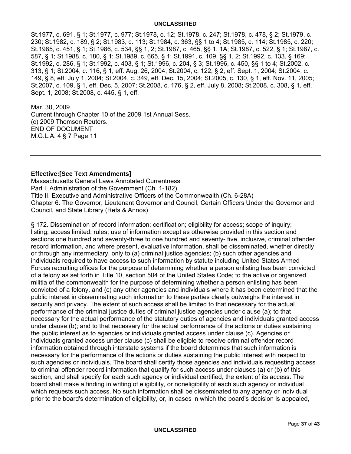St.1977, c. 691, § 1; St.1977, c. 977; St.1978, c. 12; St.1978, c. 247; St.1978, c. 478, § 2; St.1979, c. 230; St.1982, c. 189, § 2; St.1983, c. 113; St.1984, c. 363, §§ 1 to 4; St.1985, c. 114; St.1985, c. 220; St.1985, c. 451, § 1; St.1986, c. 534, §§ 1, 2; St.1987, c. 465, §§ 1, 1A; St.1987, c. 522, § 1; St.1987, c. 587, § 1; St.1988, c. 180, § 1; St.1989, c. 665, § 1; St.1991, c. 109, §§ 1, 2; St.1992, c. 133, § 169; St.1992, c. 286, § 1; St.1992, c. 403, § 1; St.1996, c. 204, § 3; St.1996, c. 450, §§ 1 to 4; St.2002, c. 313, § 1; St.2004, c. 116, § 1, eff. Aug. 26, 2004; St.2004, c. 122, § 2, eff. Sept. 1, 2004; St.2004, c. 149, § 8, eff. July 1, 2004; St.2004, c. 349, eff. Dec. 15, 2004; St.2005, c. 130, § 1, eff. Nov. 11, 2005; St.2007, c. 109, § 1, eff. Dec. 5, 2007; St.2008, c. 176, § 2, eff. July 8, 2008; St.2008, c. 308, § 1, eff. Sept. 1, 2008; St.2008, c. 445, § 1, eff.

Mar. 30, 2009. Current through Chapter 10 of the 2009 1st Annual Sess. (c) 2009 Thomson Reuters. END OF DOCUMENT M.G.L.A. 4 § 7 Page 11

#### **Effective:[See Text Amendments]**

Massachusetts General Laws Annotated Currentness Part I. Administration of the Government (Ch. 1-182) Title II. Executive and Administrative Officers of the Commonwealth (Ch. 6-28A) Chapter 6. The Governor, Lieutenant Governor and Council, Certain Officers Under the Governor and Council, and State Library (Refs & Annos)

§ 172. Dissemination of record information; certification; eligibility for access; scope of inquiry; listing; access limited; rules; use of information except as otherwise provided in this section and sections one hundred and seventy-three to one hundred and seventy- five, inclusive, criminal offender record information, and where present, evaluative information, shall be disseminated, whether directly or through any intermediary, only to (a) criminal justice agencies; (b) such other agencies and individuals required to have access to such information by statute including United States Armed Forces recruiting offices for the purpose of determining whether a person enlisting has been convicted of a felony as set forth in Title 10, section 504 of the United States Code; to the active or organized militia of the commonwealth for the purpose of determining whether a person enlisting has been convicted of a felony, and (c) any other agencies and individuals where it has been determined that the public interest in disseminating such information to these parties clearly outweighs the interest in security and privacy. The extent of such access shall be limited to that necessary for the actual performance of the criminal justice duties of criminal justice agencies under clause (a); to that necessary for the actual performance of the statutory duties of agencies and individuals granted access under clause (b); and to that necessary for the actual performance of the actions or duties sustaining the public interest as to agencies or individuals granted access under clause (c). Agencies or individuals granted access under clause (c) shall be eligible to receive criminal offender record information obtained through interstate systems if the board determines that such information is necessary for the performance of the actions or duties sustaining the public interest with respect to such agencies or individuals. The board shall certify those agencies and individuals requesting access to criminal offender record information that qualify for such access under clauses (a) or (b) of this section, and shall specify for each such agency or individual certified, the extent of its access. The board shall make a finding in writing of eligibility, or noneligibility of each such agency or individual which requests such access. No such information shall be disseminated to any agency or individual prior to the board's determination of eligibility, or, in cases in which the board's decision is appealed,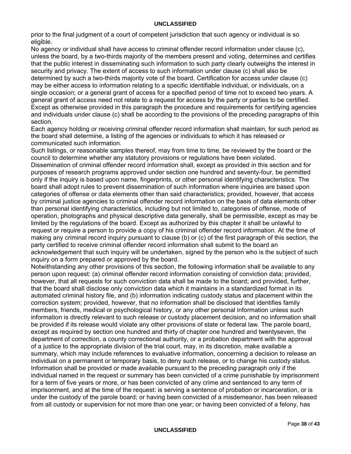prior to the final judgment of a court of competent jurisdiction that such agency or individual is so eligible.

No agency or individual shall have access to criminal offender record information under clause (c), unless the board, by a two-thirds majority of the members present and voting, determines and certifies that the public interest in disseminating such information to such party clearly outweighs the interest in security and privacy. The extent of access to such information under clause (c) shall also be determined by such a two-thirds majority vote of the board. Certification for access under clause (c) may be either access to information relating to a specific identifiable individual, or individuals, on a single occasion; or a general grant of access for a specified period of time not to exceed two years. A general grant of access need not relate to a request for access by the party or parties to be certified. Except as otherwise provided in this paragraph the procedure and requirements for certifying agencies and individuals under clause (c) shall be according to the provisions of the preceding paragraphs of this section.

Each agency holding or receiving criminal offender record information shall maintain, for such period as the board shall determine, a listing of the agencies or individuals to which it has released or communicated such information.

Such listings, or reasonable samples thereof, may from time to time, be reviewed by the board or the council to determine whether any statutory provisions or regulations have been violated.

Dissemination of criminal offender record information shall, except as provided in this section and for purposes of research programs approved under section one hundred and seventy-four, be permitted only if the inquiry is based upon name, fingerprints, or other personal identifying characteristics. The board shall adopt rules to prevent dissemination of such information where inquiries are based upon categories of offense or data elements other than said characteristics; provided, however, that access by criminal justice agencies to criminal offender record information on the basis of data elements other than personal identifying characteristics, including but not limited to, categories of offense, mode of operation, photographs and physical descriptive data generally, shall be permissible, except as may be limited by the regulations of the board. Except as authorized by this chapter it shall be unlawful to request or require a person to provide a copy of his criminal offender record information. At the time of making any criminal record inquiry pursuant to clause (b) or (c) of the first paragraph of this section, the party certified to receive criminal offender record information shall submit to the board an acknowledgement that such inquiry will be undertaken, signed by the person who is the subject of such inquiry on a form prepared or approved by the board.

Notwithstanding any other provisions of this section, the following information shall be available to any person upon request: (a) criminal offender record information consisting of conviction data; provided, however, that all requests for such conviction data shall be made to the board; and provided, further, that the board shall disclose only conviction data which it maintains in a standardized format in its automated criminal history file, and (b) information indicating custody status and placement within the correction system; provided, however, that no information shall be disclosed that identifies family members, friends, medical or psychological history, or any other personal information unless such information is directly relevant to such release or custody placement decision, and no information shall be provided if its release would violate any other provisions of state or federal law. The parole board, except as required by section one hundred and thirty of chapter one hundred and twentyseven, the department of correction, a county correctional authority, or a probation department with the approval of a justice to the appropriate division of the trial court, may, in its discretion, make available a summary, which may include references to evaluative information, concerning a decision to release an individual on a permanent or temporary basis, to deny such release, or to change his custody status. Information shall be provided or made available pursuant to the preceding paragraph only if the individual named in the request or summary has been convicted of a crime punishable by imprisonment for a term of five years or more, or has been convicted of any crime and sentenced to any term of imprisonment, and at the time of the request: is serving a sentence of probation or incarceration, or is under the custody of the parole board; or having been convicted of a misdemeanor, has been released from all custody or supervision for not more than one year; or having been convicted of a felony, has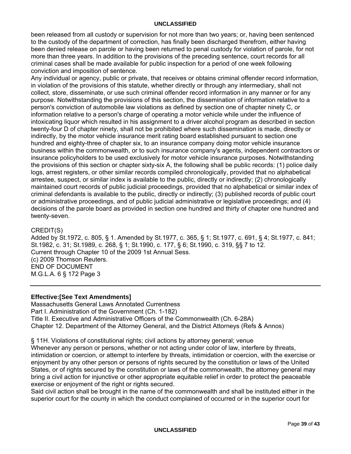been released from all custody or supervision for not more than two years; or, having been sentenced to the custody of the department of correction, has finally been discharged therefrom, either having been denied release on parole or having been returned to penal custody for violation of parole, for not more than three years. In addition to the provisions of the preceding sentence, court records for all criminal cases shall be made available for public inspection for a period of one week following conviction and imposition of sentence.

Any individual or agency, public or private, that receives or obtains criminal offender record information, in violation of the provisions of this statute, whether directly or through any intermediary, shall not collect, store, disseminate, or use such criminal offender record information in any manner or for any purpose. Notwithstanding the provisions of this section, the dissemination of information relative to a person's conviction of automobile law violations as defined by section one of chapter ninety C, or information relative to a person's charge of operating a motor vehicle while under the influence of intoxicating liquor which resulted in his assignment to a driver alcohol program as described in section twenty-four D of chapter ninety, shall not be prohibited where such dissemination is made, directly or indirectly, by the motor vehicle insurance merit rating board established pursuant to section one hundred and eighty-three of chapter six, to an insurance company doing motor vehicle insurance business within the commonwealth, or to such insurance company's agents, independent contractors or insurance policyholders to be used exclusively for motor vehicle insurance purposes. Notwithstanding the provisions of this section or chapter sixty-six A, the following shall be public records: (1) police daily logs, arrest registers, or other similar records compiled chronologically, provided that no alphabetical arrestee, suspect, or similar index is available to the public, directly or indirectly; (2) chronologically maintained court records of public judicial proceedings, provided that no alphabetical or similar index of criminal defendants is available to the public, directly or indirectly; (3) published records of public court or administrative proceedings, and of public judicial administrative or legislative proceedings; and (4) decisions of the parole board as provided in section one hundred and thirty of chapter one hundred and twenty-seven.

#### CREDIT(S)

Added by St.1972, c. 805, § 1. Amended by St.1977, c. 365, § 1; St.1977, c. 691, § 4; St.1977, c. 841; St.1982, c. 31; St.1989, c. 268, § 1; St.1990, c. 177, § 6; St.1990, c. 319, §§ 7 to 12. Current through Chapter 10 of the 2009 1st Annual Sess. (c) 2009 Thomson Reuters. END OF DOCUMENT M.G.L.A. 6 § 172 Page 3

#### **Effective:[See Text Amendments]**

Massachusetts General Laws Annotated Currentness Part I. Administration of the Government (Ch. 1-182) Title II. Executive and Administrative Officers of the Commonwealth (Ch. 6-28A) Chapter 12. Department of the Attorney General, and the District Attorneys (Refs & Annos)

§ 11H. Violations of constitutional rights; civil actions by attornev general; venue

Whenever any person or persons, whether or not acting under color of law, interfere by threats, intimidation or coercion, or attempt to interfere by threats, intimidation or coercion, with the exercise or enjoyment by any other person or persons of rights secured by the constitution or laws of the United States, or of rights secured by the constitution or laws of the commonwealth, the attorney general may bring a civil action for injunctive or other appropriate equitable relief in order to protect the peaceable exercise or enjoyment of the right or rights secured.

Said civil action shall be brought in the name of the commonwealth and shall be instituted either in the superior court for the county in which the conduct complained of occurred or in the superior court for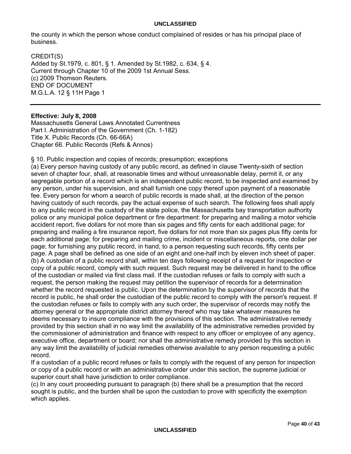the county in which the person whose conduct complained of resides or has his principal place of business.

CREDIT(S) Added by St.1979, c. 801, § 1. Amended by St.1982, c. 634, § 4. Current through Chapter 10 of the 2009 1st Annual Sess. (c) 2009 Thomson Reuters. END OF DOCUMENT M.G.L.A. 12 § 11H Page 1

### **Effective: July 8, 2008**

Massachusetts General Laws Annotated Currentness Part I. Administration of the Government (Ch. 1-182) Title X. Public Records (Ch. 66-66A) Chapter 66. Public Records (Refs & Annos)

§ 10. Public inspection and copies of records; presumption; exceptions

(a) Every person having custody of any public record, as defined in clause Twenty-sixth of section seven of chapter four, shall, at reasonable times and without unreasonable delay, permit it, or any segregable portion of a record which is an independent public record, to be inspected and examined by any person, under his supervision, and shall furnish one copy thereof upon payment of a reasonable fee. Every person for whom a search of public records is made shall, at the direction of the person having custody of such records, pay the actual expense of such search. The following fees shall apply to any public record in the custody of the state police, the Massachusetts bay transportation authority police or any municipal police department or fire department: for preparing and mailing a motor vehicle accident report, five dollars for not more than six pages and fifty cents for each additional page; for preparing and mailing a fire insurance report, five dollars for not more than six pages plus fifty cents for each additional page; for preparing and mailing crime, incident or miscellaneous reports, one dollar per page; for furnishing any public record, in hand, to a person requesting such records, fifty cents per page. A page shall be defined as one side of an eight and one-half inch by eleven inch sheet of paper. (b) A custodian of a public record shall, within ten days following receipt of a request for inspection or copy of a public record, comply with such request. Such request may be delivered in hand to the office of the custodian or mailed via first class mail. If the custodian refuses or fails to comply with such a request, the person making the request may petition the supervisor of records for a determination whether the record requested is public. Upon the determination by the supervisor of records that the record is public, he shall order the custodian of the public record to comply with the person's request. If the custodian refuses or fails to comply with any such order, the supervisor of records may notify the attorney general or the appropriate district attorney thereof who may take whatever measures he deems necessary to insure compliance with the provisions of this section. The administrative remedy provided by this section shall in no way limit the availability of the administrative remedies provided by the commissioner of administration and finance with respect to any officer or employee of any agency, executive office, department or board; nor shall the administrative remedy provided by this section in any way limit the availability of judicial remedies otherwise available to any person requesting a public record.

If a custodian of a public record refuses or fails to comply with the request of any person for inspection or copy of a public record or with an administrative order under this section, the supreme judicial or superior court shall have jurisdiction to order compliance.

(c) In any court proceeding pursuant to paragraph (b) there shall be a presumption that the record sought is public, and the burden shall be upon the custodian to prove with specificity the exemption which applies.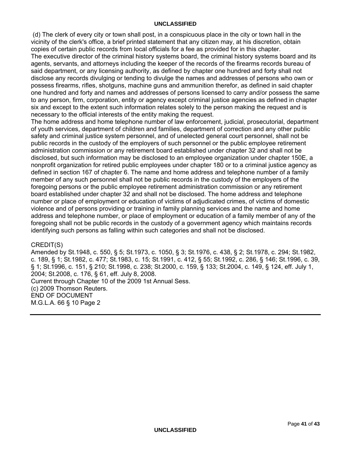(d) The clerk of every city or town shall post, in a conspicuous place in the city or town hall in the vicinity of the clerk's office, a brief printed statement that any citizen may, at his discretion, obtain copies of certain public records from local officials for a fee as provided for in this chapter. The executive director of the criminal history systems board, the criminal history systems board and its agents, servants, and attorneys including the keeper of the records of the firearms records bureau of said department, or any licensing authority, as defined by chapter one hundred and forty shall not disclose any records divulging or tending to divulge the names and addresses of persons who own or possess firearms, rifles, shotguns, machine guns and ammunition therefor, as defined in said chapter one hundred and forty and names and addresses of persons licensed to carry and/or possess the same to any person, firm, corporation, entity or agency except criminal justice agencies as defined in chapter six and except to the extent such information relates solely to the person making the request and is necessary to the official interests of the entity making the request.

The home address and home telephone number of law enforcement, judicial, prosecutorial, department of youth services, department of children and families, department of correction and any other public safety and criminal justice system personnel, and of unelected general court personnel, shall not be public records in the custody of the employers of such personnel or the public employee retirement administration commission or any retirement board established under chapter 32 and shall not be disclosed, but such information may be disclosed to an employee organization under chapter 150E, a nonprofit organization for retired public employees under chapter 180 or to a criminal justice agency as defined in section 167 of chapter 6. The name and home address and telephone number of a family member of any such personnel shall not be public records in the custody of the employers of the foregoing persons or the public employee retirement administration commission or any retirement board established under chapter 32 and shall not be disclosed. The home address and telephone number or place of employment or education of victims of adjudicated crimes, of victims of domestic violence and of persons providing or training in family planning services and the name and home address and telephone number, or place of employment or education of a family member of any of the foregoing shall not be public records in the custody of a government agency which maintains records identifying such persons as falling within such categories and shall not be disclosed.

#### CREDIT(S)

Amended by St.1948, c. 550, § 5; St.1973, c. 1050, § 3; St.1976, c. 438, § 2; St.1978, c. 294; St.1982, c. 189, § 1; St.1982, c. 477; St.1983, c. 15; St.1991, c. 412, § 55; St.1992, c. 286, § 146; St.1996, c. 39, § 1; St.1996, c. 151, § 210; St.1998, c. 238; St.2000, c. 159, § 133; St.2004, c. 149, § 124, eff. July 1, 2004; St.2008, c. 176, § 61, eff. July 8, 2008. Current through Chapter 10 of the 2009 1st Annual Sess. (c) 2009 Thomson Reuters. END OF DOCUMENT M.G.L.A. 66 § 10 Page 2